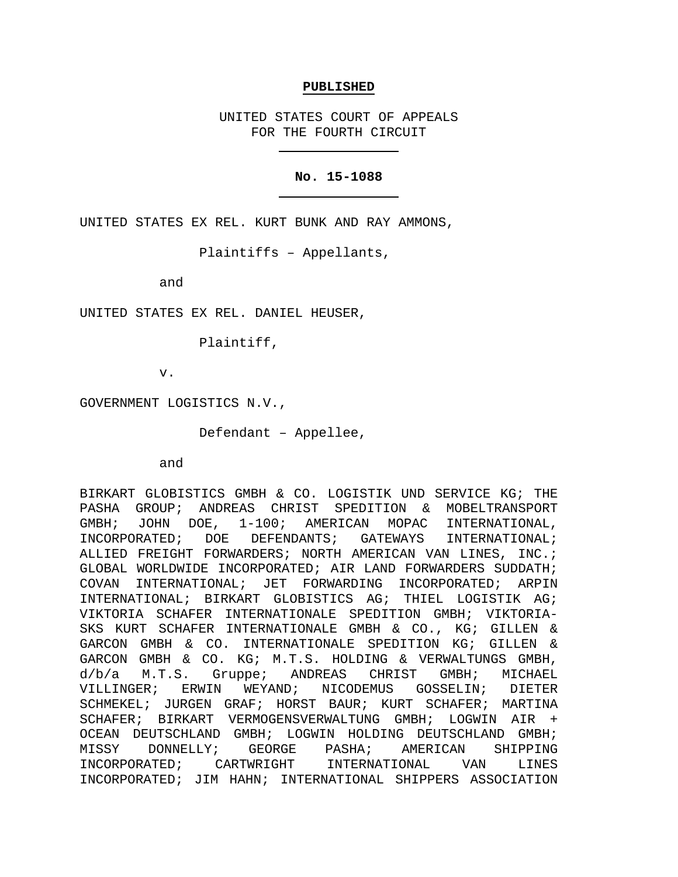#### **PUBLISHED**

UNITED STATES COURT OF APPEALS FOR THE FOURTH CIRCUIT

## **No. 15-1088**

UNITED STATES EX REL. KURT BUNK AND RAY AMMONS,

Plaintiffs – Appellants,

and

UNITED STATES EX REL. DANIEL HEUSER,

Plaintiff,

v.

GOVERNMENT LOGISTICS N.V.,

Defendant – Appellee,

and

BIRKART GLOBISTICS GMBH & CO. LOGISTIK UND SERVICE KG; THE PASHA GROUP; ANDREAS CHRIST SPEDITION & MOBELTRANSPORT GMBH; JOHN DOE, 1-100; AMERICAN MOPAC INTERNATIONAL,<br>INCORPORATED; DOE DEFENDANTS; GATEWAYS INTERNATIONAL; INCORPORATED; DOE DEFENDANTS; GATEWAYS INTERNATIONAL; ALLIED FREIGHT FORWARDERS; NORTH AMERICAN VAN LINES, INC.; GLOBAL WORLDWIDE INCORPORATED; AIR LAND FORWARDERS SUDDATH; COVAN INTERNATIONAL; JET FORWARDING INCORPORATED; ARPIN INTERNATIONAL; BIRKART GLOBISTICS AG; THIEL LOGISTIK AG; VIKTORIA SCHAFER INTERNATIONALE SPEDITION GMBH; VIKTORIA-SKS KURT SCHAFER INTERNATIONALE GMBH & CO., KG; GILLEN & GARCON GMBH & CO. INTERNATIONALE SPEDITION KG; GILLEN & GARCON GMBH & CO. KG; M.T.S. HOLDING & VERWALTUNGS GMBH, d/b/a M.T.S. Gruppe; ANDREAS CHRIST GMBH; MICHAEL<br>VILLINGER; ERWIN WEYAND; NICODEMUS GOSSELIN; DIETER NICODEMUS GOSSELIN; DIETER SCHMEKEL; JURGEN GRAF; HORST BAUR; KURT SCHAFER; MARTINA SCHAFER; BIRKART VERMOGENSVERWALTUNG GMBH; LOGWIN AIR + OCEAN DEUTSCHLAND GMBH; LOGWIN HOLDING DEUTSCHLAND GMBH;<br>MISSY DONNELLY; GEORGE PASHA; AMERICAN SHIPPING MISSY DONNELLY; GEORGE PASHA; AMERICAN SHIPPING<br>INCORPORATED; CARTWRIGHT INTERNATIONAL VAN LINES INCORPORATED; CARTWRIGHT INTERNATIONAL VAN LINES INCORPORATED; JIM HAHN; INTERNATIONAL SHIPPERS ASSOCIATION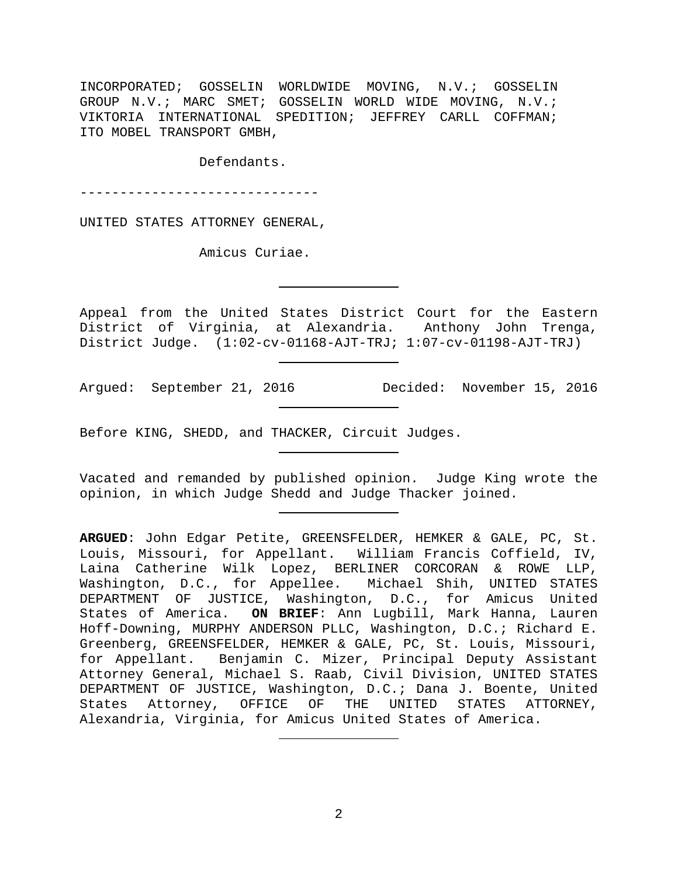INCORPORATED; GOSSELIN WORLDWIDE MOVING, N.V.; GOSSELIN GROUP N.V.; MARC SMET; GOSSELIN WORLD WIDE MOVING, N.V.; VIKTORIA INTERNATIONAL SPEDITION; JEFFREY CARLL COFFMAN; ITO MOBEL TRANSPORT GMBH,

Defendants.

------------------------------

UNITED STATES ATTORNEY GENERAL,

Amicus Curiae.

Appeal from the United States District Court for the Eastern District of Virginia, at Alexandria. Anthony John Trenga, District Judge. (1:02-cv-01168-AJT-TRJ; 1:07-cv-01198-AJT-TRJ)

Argued: September 21, 2016 Decided: November 15, 2016

Before KING, SHEDD, and THACKER, Circuit Judges.

Vacated and remanded by published opinion. Judge King wrote the opinion, in which Judge Shedd and Judge Thacker joined.

**ARGUED**: John Edgar Petite, GREENSFELDER, HEMKER & GALE, PC, St. Louis, Missouri, for Appellant. William Francis Coffield, IV, Laina Catherine Wilk Lopez, BERLINER CORCORAN & ROWE LLP, Washington, D.C., for Appellee. Michael Shih, UNITED STATES DEPARTMENT OF JUSTICE, Washington, D.C., for Amicus United States of America. **ON BRIEF**: Ann Lugbill, Mark Hanna, Lauren Hoff-Downing, MURPHY ANDERSON PLLC, Washington, D.C.; Richard E. Greenberg, GREENSFELDER, HEMKER & GALE, PC, St. Louis, Missouri, for Appellant. Benjamin C. Mizer, Principal Deputy Assistant Attorney General, Michael S. Raab, Civil Division, UNITED STATES DEPARTMENT OF JUSTICE, Washington, D.C.; Dana J. Boente, United States Attorney, OFFICE OF THE UNITED STATES ATTORNEY, Alexandria, Virginia, for Amicus United States of America.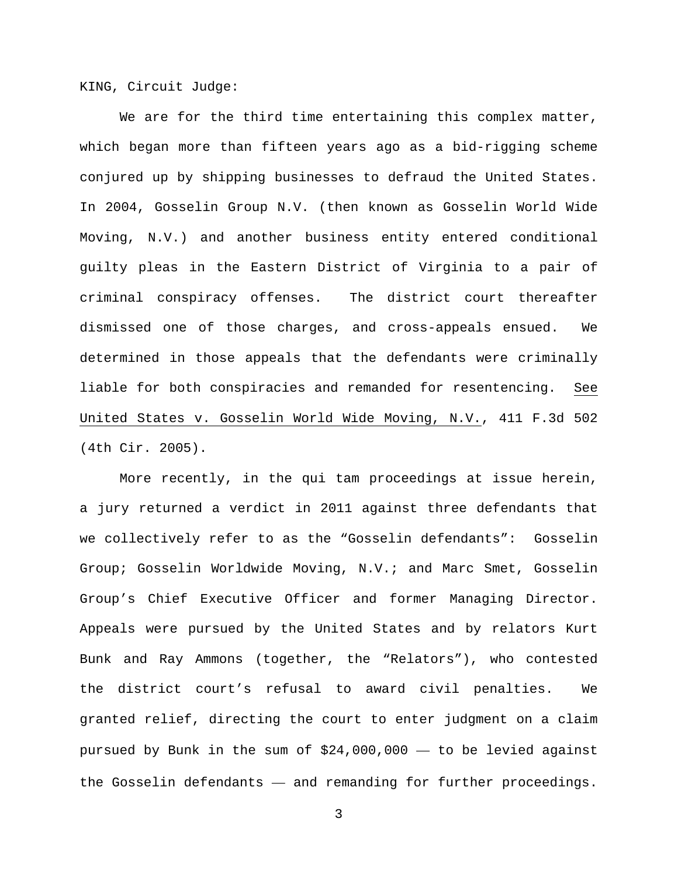KING, Circuit Judge:

We are for the third time entertaining this complex matter, which began more than fifteen years ago as a bid-rigging scheme conjured up by shipping businesses to defraud the United States. In 2004, Gosselin Group N.V. (then known as Gosselin World Wide Moving, N.V.) and another business entity entered conditional guilty pleas in the Eastern District of Virginia to a pair of criminal conspiracy offenses. The district court thereafter dismissed one of those charges, and cross-appeals ensued. We determined in those appeals that the defendants were criminally liable for both conspiracies and remanded for resentencing. See United States v. Gosselin World Wide Moving, N.V., 411 F.3d 502 (4th Cir. 2005).

More recently, in the qui tam proceedings at issue herein, a jury returned a verdict in 2011 against three defendants that we collectively refer to as the "Gosselin defendants": Gosselin Group; Gosselin Worldwide Moving, N.V.; and Marc Smet, Gosselin Group's Chief Executive Officer and former Managing Director. Appeals were pursued by the United States and by relators Kurt Bunk and Ray Ammons (together, the "Relators"), who contested the district court's refusal to award civil penalties. We granted relief, directing the court to enter judgment on a claim pursued by Bunk in the sum of \$24,000,000 — to be levied against the Gosselin defendants — and remanding for further proceedings.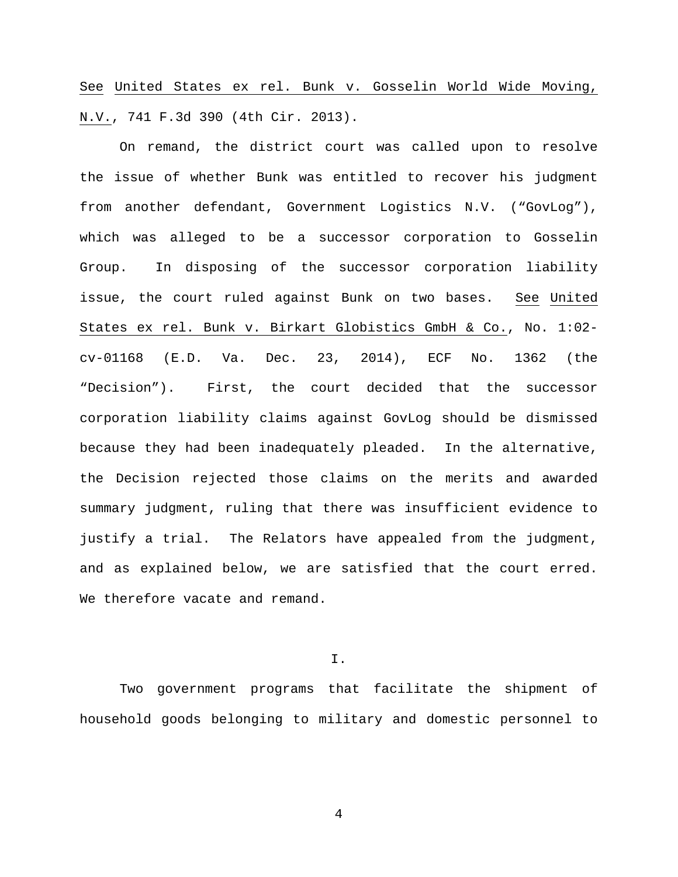See United States ex rel. Bunk v. Gosselin World Wide Moving, N.V., 741 F.3d 390 (4th Cir. 2013).

On remand, the district court was called upon to resolve the issue of whether Bunk was entitled to recover his judgment from another defendant, Government Logistics N.V. ("GovLog"), which was alleged to be a successor corporation to Gosselin Group. In disposing of the successor corporation liability issue, the court ruled against Bunk on two bases. See United States ex rel. Bunk v. Birkart Globistics GmbH & Co., No. 1:02 cv-01168 (E.D. Va. Dec. 23, 2014), ECF No. 1362 (the "Decision"). First, the court decided that the successor corporation liability claims against GovLog should be dismissed because they had been inadequately pleaded. In the alternative, the Decision rejected those claims on the merits and awarded summary judgment, ruling that there was insufficient evidence to justify a trial. The Relators have appealed from the judgment, and as explained below, we are satisfied that the court erred. We therefore vacate and remand.

I.

Two government programs that facilitate the shipment of household goods belonging to military and domestic personnel to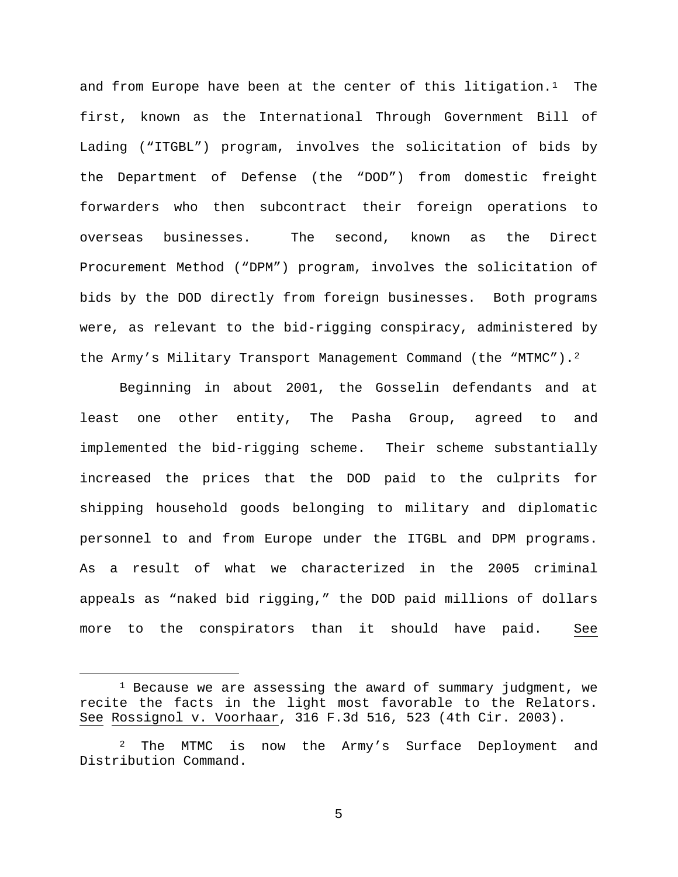and from Europe have been at the center of this litigation.<sup>1</sup> The first, known as the International Through Government Bill of Lading ("ITGBL") program, involves the solicitation of bids by the Department of Defense (the "DOD") from domestic freight forwarders who then subcontract their foreign operations to overseas businesses. The second, known as the Direct Procurement Method ("DPM") program, involves the solicitation of bids by the DOD directly from foreign businesses. Both programs were, as relevant to the bid-rigging conspiracy, administered by the Army's Military Transport Management Command (the "MTMC").<sup>[2](#page-4-1)</sup>

Beginning in about 2001, the Gosselin defendants and at least one other entity, The Pasha Group, agreed to and implemented the bid-rigging scheme. Their scheme substantially increased the prices that the DOD paid to the culprits for shipping household goods belonging to military and diplomatic personnel to and from Europe under the ITGBL and DPM programs. As a result of what we characterized in the 2005 criminal appeals as "naked bid rigging," the DOD paid millions of dollars more to the conspirators than it should have paid. See

<span id="page-4-0"></span> $1$  Because we are assessing the award of summary judgment, we recite the facts in the light most favorable to the Relators. See Rossignol v. Voorhaar, 316 F.3d 516, 523 (4th Cir. 2003).

<span id="page-4-1"></span><sup>&</sup>lt;sup>2</sup> The MTMC is now the Army's Surface Deployment and Distribution Command.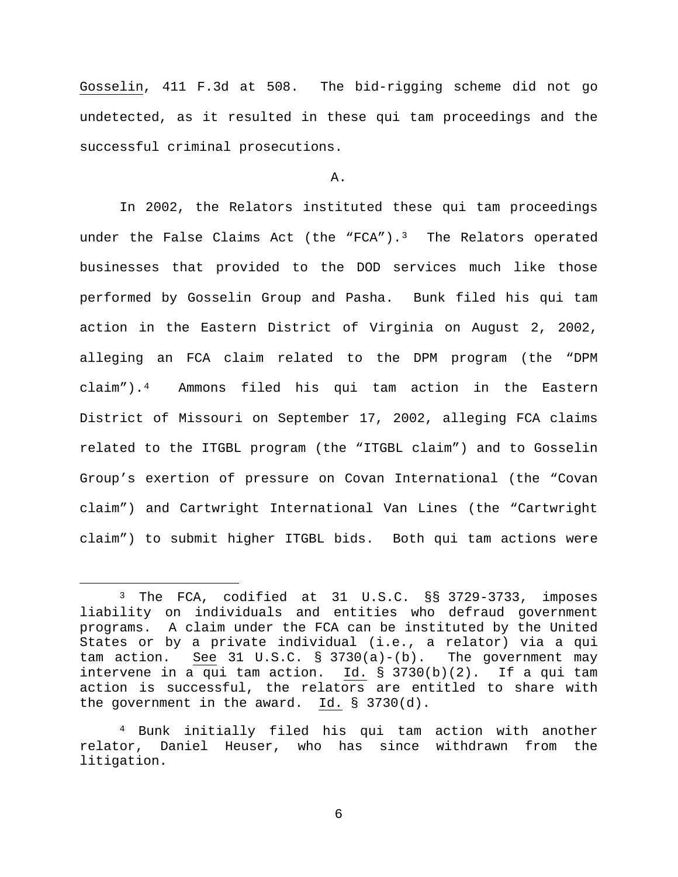Gosselin, 411 F.3d at 508. The bid-rigging scheme did not go undetected, as it resulted in these qui tam proceedings and the successful criminal prosecutions.

#### A.

In 2002, the Relators instituted these qui tam proceedings under the False Claims Act (the "FCA").<sup>3</sup> The Relators operated businesses that provided to the DOD services much like those performed by Gosselin Group and Pasha. Bunk filed his qui tam action in the Eastern District of Virginia on August 2, 2002, alleging an FCA claim related to the DPM program (the "DPM claim").[4](#page-5-1) Ammons filed his qui tam action in the Eastern District of Missouri on September 17, 2002, alleging FCA claims related to the ITGBL program (the "ITGBL claim") and to Gosselin Group's exertion of pressure on Covan International (the "Covan claim") and Cartwright International Van Lines (the "Cartwright claim") to submit higher ITGBL bids. Both qui tam actions were

<span id="page-5-0"></span> <sup>3</sup> The FCA, codified at 31 U.S.C. §§ 3729-3733, imposes liability on individuals and entities who defraud government programs. A claim under the FCA can be instituted by the United States or by a private individual (i.e., a relator) via a qui tam action. See 31 U.S.C. § 3730(a)-(b). The government may intervene in a qui tam action. Id. § 3730(b)(2). If a qui tam action is successful, the relators are entitled to share with the government in the award. Id. § 3730(d).

<span id="page-5-1"></span><sup>4</sup> Bunk initially filed his qui tam action with another relator, Daniel Heuser, who has since withdrawn from the litigation.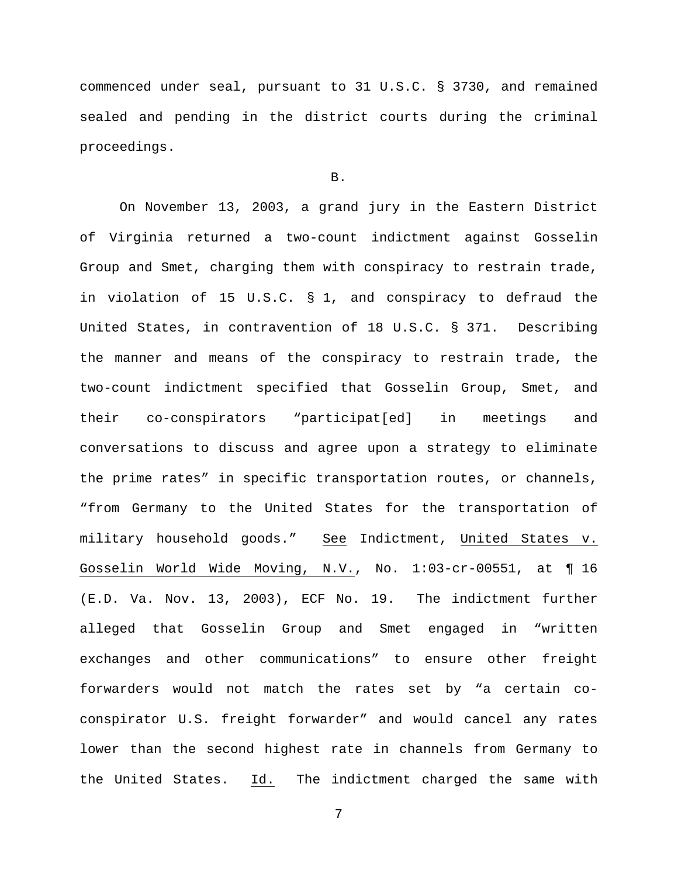commenced under seal, pursuant to 31 U.S.C. § 3730, and remained sealed and pending in the district courts during the criminal proceedings.

#### B.

On November 13, 2003, a grand jury in the Eastern District of Virginia returned a two-count indictment against Gosselin Group and Smet, charging them with conspiracy to restrain trade, in violation of 15 U.S.C. § 1, and conspiracy to defraud the United States, in contravention of 18 U.S.C. § 371. Describing the manner and means of the conspiracy to restrain trade, the two-count indictment specified that Gosselin Group, Smet, and their co-conspirators "participat[ed] in meetings and conversations to discuss and agree upon a strategy to eliminate the prime rates" in specific transportation routes, or channels, "from Germany to the United States for the transportation of military household goods." See Indictment, United States v. Gosselin World Wide Moving, N.V., No. 1:03-cr-00551, at ¶ 16 (E.D. Va. Nov. 13, 2003), ECF No. 19. The indictment further alleged that Gosselin Group and Smet engaged in "written exchanges and other communications" to ensure other freight forwarders would not match the rates set by "a certain coconspirator U.S. freight forwarder" and would cancel any rates lower than the second highest rate in channels from Germany to the United States. Id. The indictment charged the same with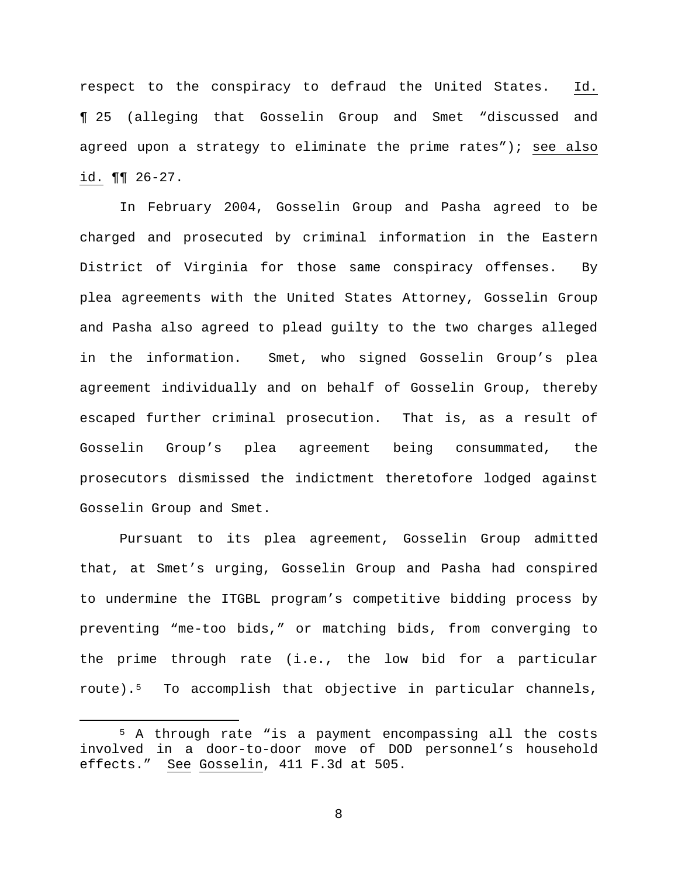respect to the conspiracy to defraud the United States. Id. ¶ 25 (alleging that Gosselin Group and Smet "discussed and agreed upon a strategy to eliminate the prime rates"); see also id.  $\P\P$  26-27.

In February 2004, Gosselin Group and Pasha agreed to be charged and prosecuted by criminal information in the Eastern District of Virginia for those same conspiracy offenses. By plea agreements with the United States Attorney, Gosselin Group and Pasha also agreed to plead guilty to the two charges alleged in the information. Smet, who signed Gosselin Group's plea agreement individually and on behalf of Gosselin Group, thereby escaped further criminal prosecution. That is, as a result of Gosselin Group's plea agreement being consummated, the prosecutors dismissed the indictment theretofore lodged against Gosselin Group and Smet.

Pursuant to its plea agreement, Gosselin Group admitted that, at Smet's urging, Gosselin Group and Pasha had conspired to undermine the ITGBL program's competitive bidding process by preventing "me-too bids," or matching bids, from converging to the prime through rate (i.e., the low bid for a particular route).[5](#page-7-0) To accomplish that objective in particular channels,

<span id="page-7-0"></span> <sup>5</sup> A through rate "is a payment encompassing all the costs involved in a door-to-door move of DOD personnel's household effects." See Gosselin, 411 F.3d at 505.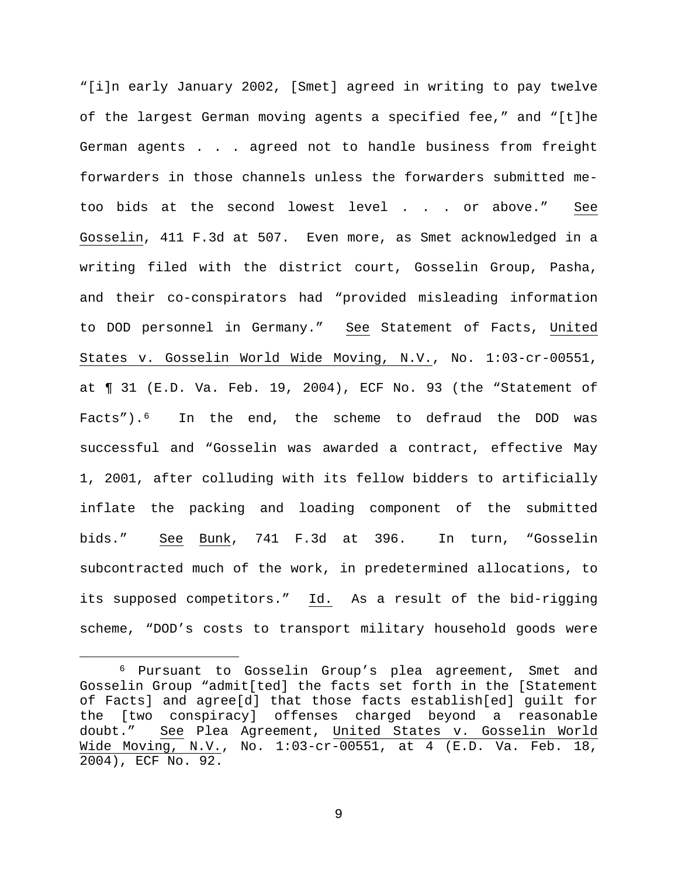"[i]n early January 2002, [Smet] agreed in writing to pay twelve of the largest German moving agents a specified fee," and "[t]he German agents . . . agreed not to handle business from freight forwarders in those channels unless the forwarders submitted metoo bids at the second lowest level . . . or above." See Gosselin, 411 F.3d at 507. Even more, as Smet acknowledged in a writing filed with the district court, Gosselin Group, Pasha, and their co-conspirators had "provided misleading information to DOD personnel in Germany." See Statement of Facts, United States v. Gosselin World Wide Moving, N.V., No. 1:03-cr-00551, at ¶ 31 (E.D. Va. Feb. 19, 2004), ECF No. 93 (the "Statement of Facts").[6](#page-8-0) In the end, the scheme to defraud the DOD was successful and "Gosselin was awarded a contract, effective May 1, 2001, after colluding with its fellow bidders to artificially inflate the packing and loading component of the submitted bids." See Bunk, 741 F.3d at 396. In turn, "Gosselin subcontracted much of the work, in predetermined allocations, to its supposed competitors." Id. As a result of the bid-rigging scheme, "DOD's costs to transport military household goods were

<span id="page-8-0"></span> <sup>6</sup> Pursuant to Gosselin Group's plea agreement, Smet and Gosselin Group "admit[ted] the facts set forth in the [Statement of Facts] and agree[d] that those facts establish[ed] guilt for the [two conspiracy] offenses charged beyond a reasonable doubt." See Plea Agreement, United States v. Gosselin World Wide Moving, N.V., No. 1:03-cr-00551, at 4 (E.D. Va. Feb. 18, 2004), ECF No. 92.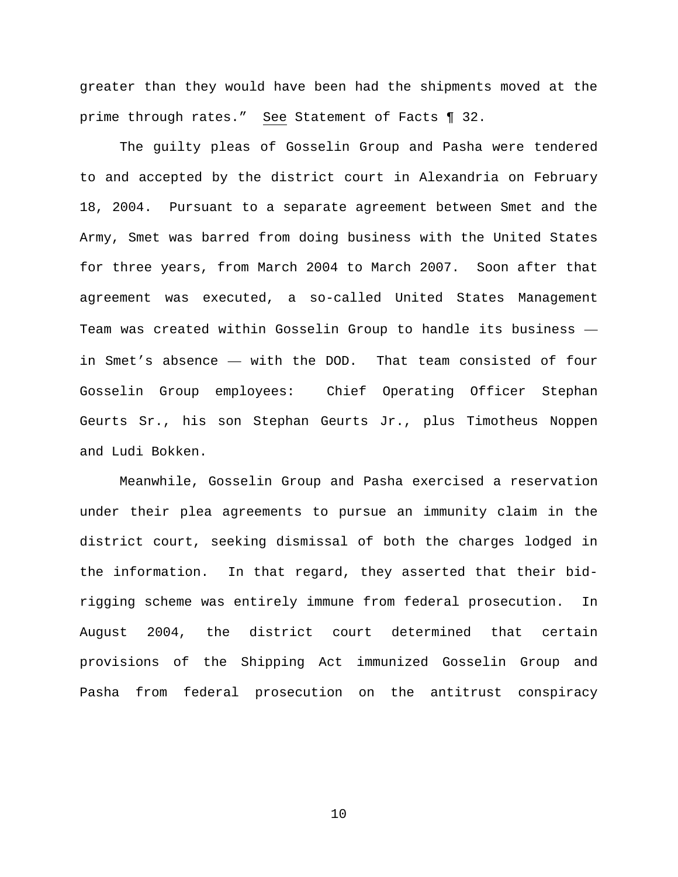greater than they would have been had the shipments moved at the prime through rates." See Statement of Facts ¶ 32.

The guilty pleas of Gosselin Group and Pasha were tendered to and accepted by the district court in Alexandria on February 18, 2004. Pursuant to a separate agreement between Smet and the Army, Smet was barred from doing business with the United States for three years, from March 2004 to March 2007. Soon after that agreement was executed, a so-called United States Management Team was created within Gosselin Group to handle its business in Smet's absence — with the DOD. That team consisted of four Gosselin Group employees: Chief Operating Officer Stephan Geurts Sr., his son Stephan Geurts Jr., plus Timotheus Noppen and Ludi Bokken.

Meanwhile, Gosselin Group and Pasha exercised a reservation under their plea agreements to pursue an immunity claim in the district court, seeking dismissal of both the charges lodged in the information. In that regard, they asserted that their bidrigging scheme was entirely immune from federal prosecution. In August 2004, the district court determined that certain provisions of the Shipping Act immunized Gosselin Group and Pasha from federal prosecution on the antitrust conspiracy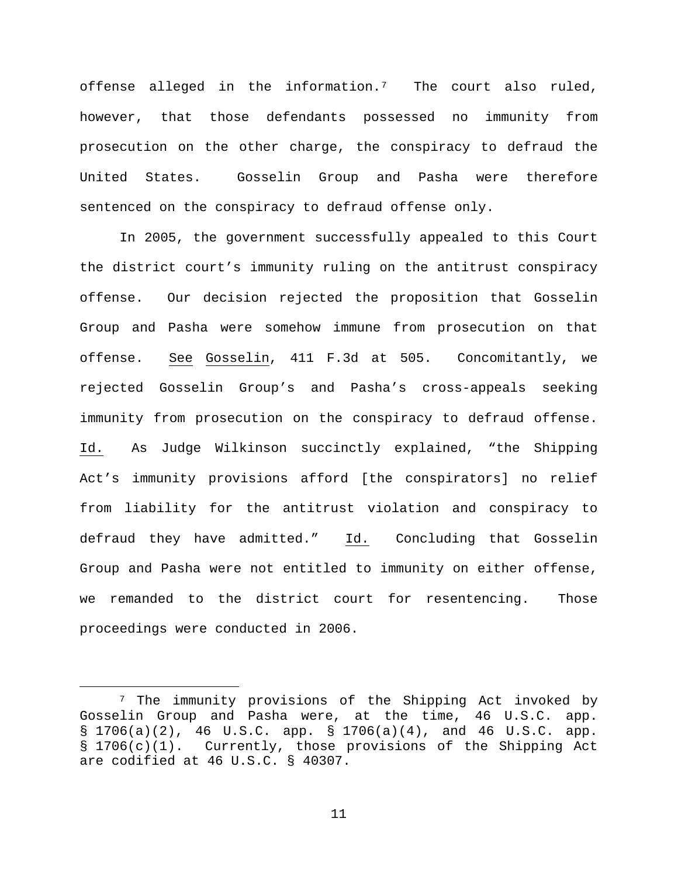offense alleged in the information.[7](#page-10-0) The court also ruled, however, that those defendants possessed no immunity from prosecution on the other charge, the conspiracy to defraud the United States. Gosselin Group and Pasha were therefore sentenced on the conspiracy to defraud offense only.

In 2005, the government successfully appealed to this Court the district court's immunity ruling on the antitrust conspiracy offense. Our decision rejected the proposition that Gosselin Group and Pasha were somehow immune from prosecution on that offense. See Gosselin, 411 F.3d at 505. Concomitantly, we rejected Gosselin Group's and Pasha's cross-appeals seeking immunity from prosecution on the conspiracy to defraud offense. Id. As Judge Wilkinson succinctly explained, "the Shipping Act's immunity provisions afford [the conspirators] no relief from liability for the antitrust violation and conspiracy to defraud they have admitted." Id. Concluding that Gosselin Group and Pasha were not entitled to immunity on either offense, we remanded to the district court for resentencing. Those proceedings were conducted in 2006.

<span id="page-10-0"></span> <sup>7</sup> The immunity provisions of the Shipping Act invoked by Gosselin Group and Pasha were, at the time, 46 U.S.C. app. § 1706(a)(2), 46 U.S.C. app. § 1706(a)(4), and 46 U.S.C. app. § 1706(c)(1). Currently, those provisions of the Shipping Act are codified at 46 U.S.C. § 40307.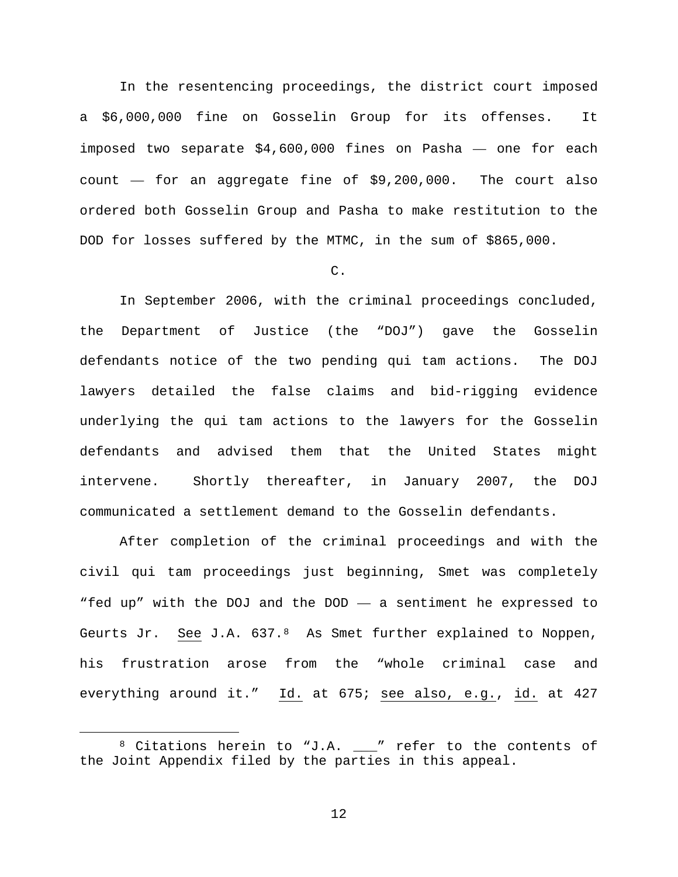In the resentencing proceedings, the district court imposed a \$6,000,000 fine on Gosselin Group for its offenses. It imposed two separate \$4,600,000 fines on Pasha — one for each count — for an aggregate fine of \$9,200,000. The court also ordered both Gosselin Group and Pasha to make restitution to the DOD for losses suffered by the MTMC, in the sum of \$865,000.

### C.

In September 2006, with the criminal proceedings concluded, the Department of Justice (the "DOJ") gave the Gosselin defendants notice of the two pending qui tam actions. The DOJ lawyers detailed the false claims and bid-rigging evidence underlying the qui tam actions to the lawyers for the Gosselin defendants and advised them that the United States might intervene. Shortly thereafter, in January 2007, the DOJ communicated a settlement demand to the Gosselin defendants.

After completion of the criminal proceedings and with the civil qui tam proceedings just beginning, Smet was completely "fed up" with the DOJ and the DOD — a sentiment he expressed to Geurts Jr. See J.A.  $637.^8$  $637.^8$  As Smet further explained to Noppen, his frustration arose from the "whole criminal case and everything around it." Id. at 675; see also, e.g., id. at 427

<span id="page-11-0"></span> <sup>8</sup> Citations herein to "J.A. \_\_\_" refer to the contents of the Joint Appendix filed by the parties in this appeal.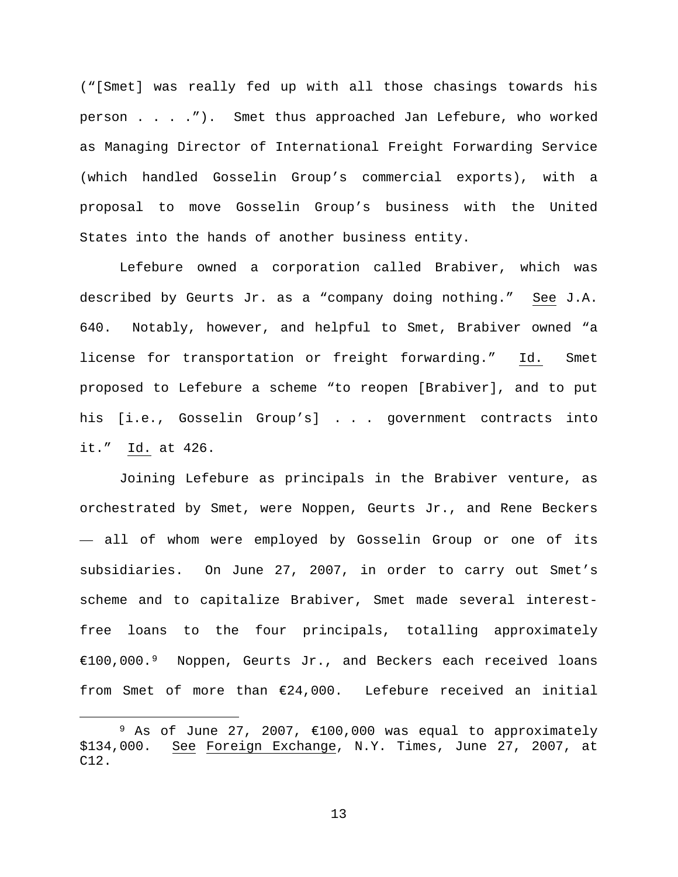("[Smet] was really fed up with all those chasings towards his person . . . ."). Smet thus approached Jan Lefebure, who worked as Managing Director of International Freight Forwarding Service (which handled Gosselin Group's commercial exports), with a proposal to move Gosselin Group's business with the United States into the hands of another business entity.

Lefebure owned a corporation called Brabiver, which was described by Geurts Jr. as a "company doing nothing." See J.A. 640. Notably, however, and helpful to Smet, Brabiver owned "a license for transportation or freight forwarding." Id. Smet proposed to Lefebure a scheme "to reopen [Brabiver], and to put his [i.e., Gosselin Group's] . . . government contracts into it." Id. at 426.

Joining Lefebure as principals in the Brabiver venture, as orchestrated by Smet, were Noppen, Geurts Jr., and Rene Beckers — all of whom were employed by Gosselin Group or one of its subsidiaries. On June 27, 2007, in order to carry out Smet's scheme and to capitalize Brabiver, Smet made several interestfree loans to the four principals, totalling approximately €100,000.[9](#page-12-0) Noppen, Geurts Jr., and Beckers each received loans from Smet of more than €24,000. Lefebure received an initial

<span id="page-12-0"></span><sup>9</sup> As of June 27, 2007,  $\in$ 100,000 was equal to approximately \$134,000. See Foreign Exchange, N.Y. Times, June 27, 2007, at See Foreign Exchange, N.Y. Times, June 27, 2007, at C12.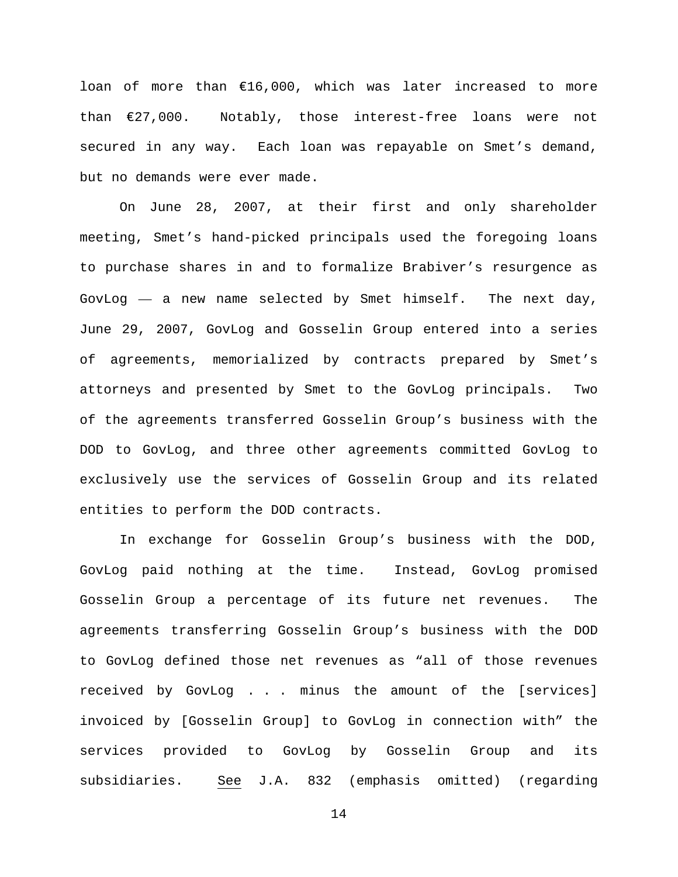loan of more than €16,000, which was later increased to more than €27,000. Notably, those interest-free loans were not secured in any way. Each loan was repayable on Smet's demand, but no demands were ever made.

On June 28, 2007, at their first and only shareholder meeting, Smet's hand-picked principals used the foregoing loans to purchase shares in and to formalize Brabiver's resurgence as GovLog — a new name selected by Smet himself. The next day, June 29, 2007, GovLog and Gosselin Group entered into a series of agreements, memorialized by contracts prepared by Smet's attorneys and presented by Smet to the GovLog principals. Two of the agreements transferred Gosselin Group's business with the DOD to GovLog, and three other agreements committed GovLog to exclusively use the services of Gosselin Group and its related entities to perform the DOD contracts.

In exchange for Gosselin Group's business with the DOD, GovLog paid nothing at the time. Instead, GovLog promised Gosselin Group a percentage of its future net revenues. The agreements transferring Gosselin Group's business with the DOD to GovLog defined those net revenues as "all of those revenues received by GovLog . . . minus the amount of the [services] invoiced by [Gosselin Group] to GovLog in connection with" the services provided to GovLog by Gosselin Group and its subsidiaries. See J.A. 832 (emphasis omitted) (regarding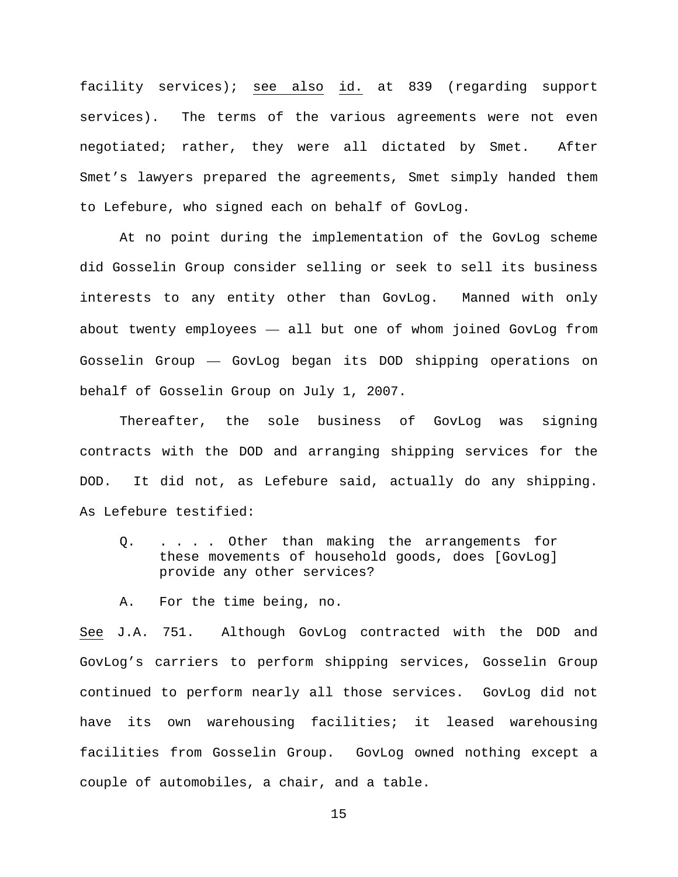facility services); see also id. at 839 (regarding support services). The terms of the various agreements were not even negotiated; rather, they were all dictated by Smet. After Smet's lawyers prepared the agreements, Smet simply handed them to Lefebure, who signed each on behalf of GovLog.

At no point during the implementation of the GovLog scheme did Gosselin Group consider selling or seek to sell its business interests to any entity other than GovLog. Manned with only about twenty employees — all but one of whom joined GovLog from Gosselin Group — GovLog began its DOD shipping operations on behalf of Gosselin Group on July 1, 2007.

Thereafter, the sole business of GovLog was signing contracts with the DOD and arranging shipping services for the DOD. It did not, as Lefebure said, actually do any shipping. As Lefebure testified:

Q. . . . . Other than making the arrangements for these movements of household goods, does [GovLog] provide any other services?

A. For the time being, no.

See J.A. 751. Although GovLog contracted with the DOD and GovLog's carriers to perform shipping services, Gosselin Group continued to perform nearly all those services. GovLog did not have its own warehousing facilities; it leased warehousing facilities from Gosselin Group. GovLog owned nothing except a couple of automobiles, a chair, and a table.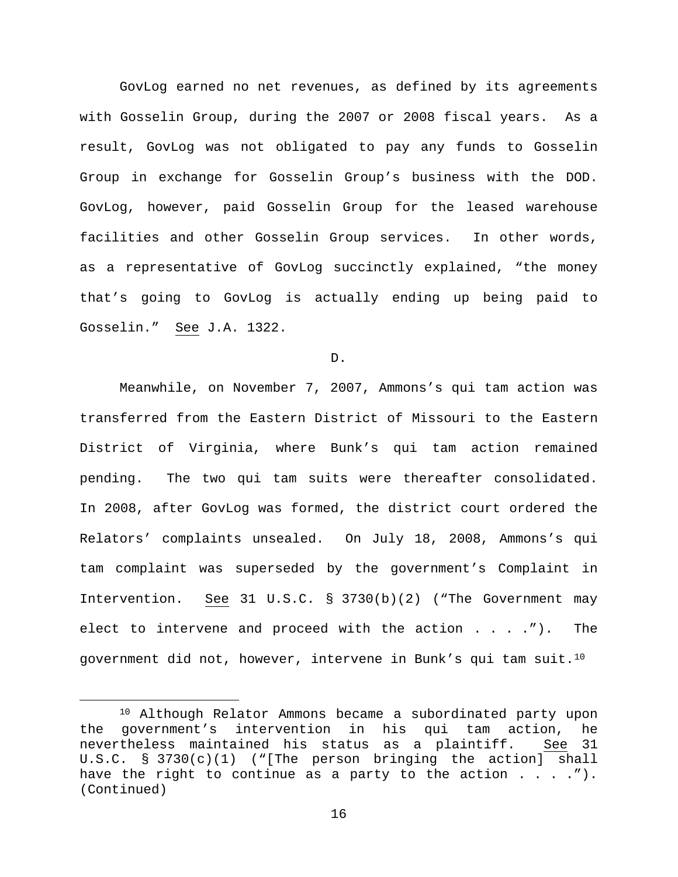GovLog earned no net revenues, as defined by its agreements with Gosselin Group, during the 2007 or 2008 fiscal years. As a result, GovLog was not obligated to pay any funds to Gosselin Group in exchange for Gosselin Group's business with the DOD. GovLog, however, paid Gosselin Group for the leased warehouse facilities and other Gosselin Group services. In other words, as a representative of GovLog succinctly explained, "the money that's going to GovLog is actually ending up being paid to Gosselin." See J.A. 1322.

D.

Meanwhile, on November 7, 2007, Ammons's qui tam action was transferred from the Eastern District of Missouri to the Eastern District of Virginia, where Bunk's qui tam action remained pending. The two qui tam suits were thereafter consolidated. In 2008, after GovLog was formed, the district court ordered the Relators' complaints unsealed. On July 18, 2008, Ammons's qui tam complaint was superseded by the government's Complaint in Intervention. See 31 U.S.C. § 3730(b)(2) ("The Government may elect to intervene and proceed with the action . . . ."). The government did not, however, intervene in Bunk's qui tam suit.[10](#page-15-0)

<span id="page-15-0"></span> <sup>10</sup> Although Relator Ammons became a subordinated party upon the government's intervention in his qui tam action, he nevertheless maintained his status as a plaintiff. See 31 U.S.C. § 3730(c)(1) ("[The person bringing the action] shall have the right to continue as a party to the action  $\dots$ ...... (Continued)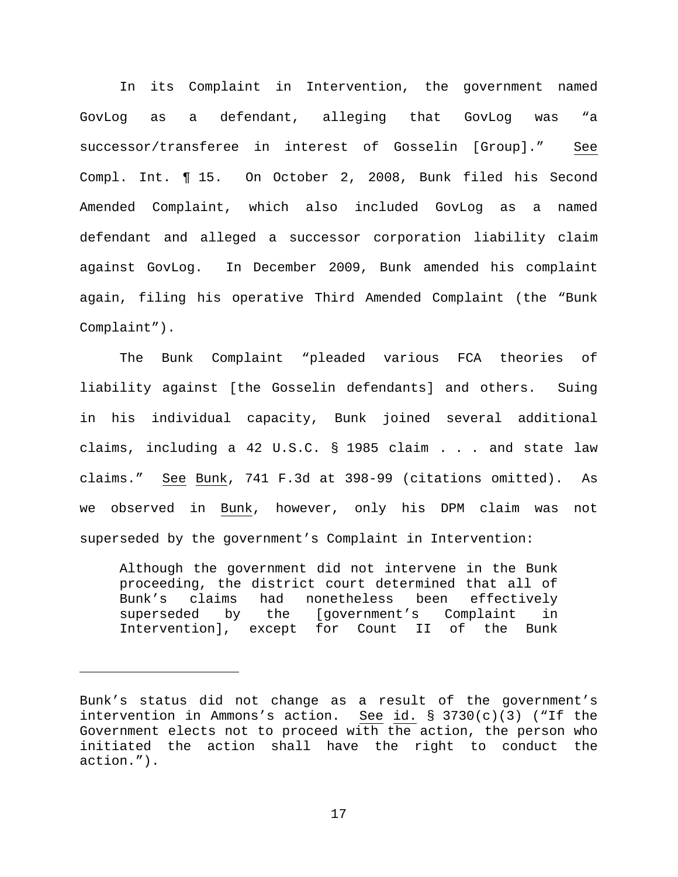In its Complaint in Intervention, the government named GovLog as a defendant, alleging that GovLog was "a successor/transferee in interest of Gosselin [Group]." See Compl. Int. ¶ 15. On October 2, 2008, Bunk filed his Second Amended Complaint, which also included GovLog as a named defendant and alleged a successor corporation liability claim against GovLog. In December 2009, Bunk amended his complaint again, filing his operative Third Amended Complaint (the "Bunk Complaint").

The Bunk Complaint "pleaded various FCA theories of liability against [the Gosselin defendants] and others. Suing in his individual capacity, Bunk joined several additional claims, including a 42 U.S.C. § 1985 claim . . . and state law claims." See Bunk, 741 F.3d at 398-99 (citations omitted). As we observed in Bunk, however, only his DPM claim was not superseded by the government's Complaint in Intervention:

Although the government did not intervene in the Bunk proceeding, the district court determined that all of<br>Bunk's claims had nonetheless been effectively Bunk's claims had nonetheless been<br>superseded by the [government's Co [government's Complaint in Intervention], except for Count II of the Bunk

Ĩ.

Bunk's status did not change as a result of the government's intervention in Ammons's action. See id.  $\S$  3730(c)(3) ("If the Government elects not to proceed with the action, the person who initiated the action shall have the right to conduct the action.").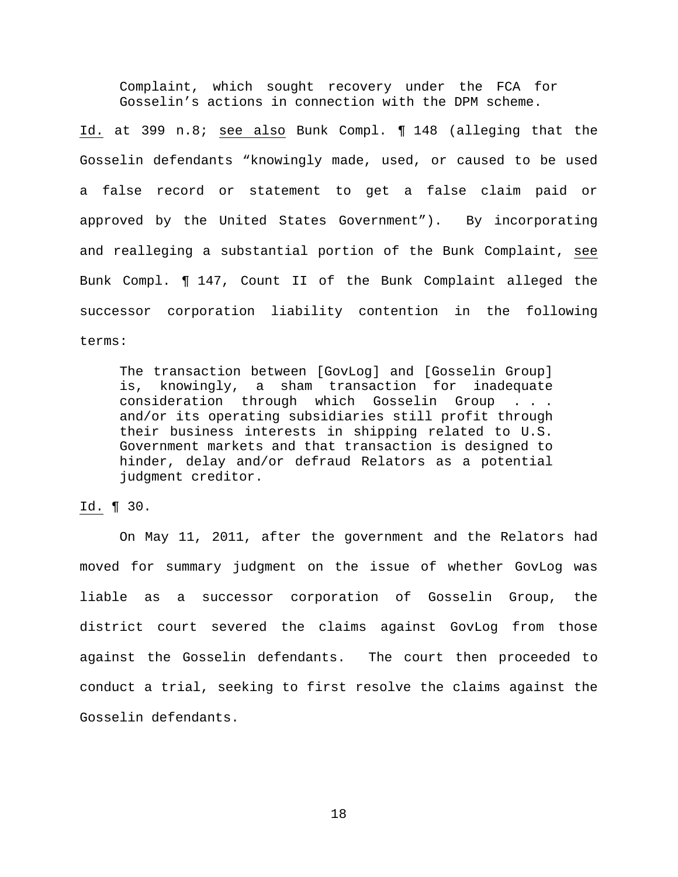Complaint, which sought recovery under the FCA for Gosselin's actions in connection with the DPM scheme.

Id. at 399 n.8; see also Bunk Compl. ¶ 148 (alleging that the Gosselin defendants "knowingly made, used, or caused to be used a false record or statement to get a false claim paid or approved by the United States Government"). By incorporating and realleging a substantial portion of the Bunk Complaint, see Bunk Compl. ¶ 147, Count II of the Bunk Complaint alleged the successor corporation liability contention in the following terms:

The transaction between [GovLog] and [Gosselin Group] is, knowingly, a sham transaction for inadequate consideration through which Gosselin Group . . . and/or its operating subsidiaries still profit through their business interests in shipping related to U.S. Government markets and that transaction is designed to hinder, delay and/or defraud Relators as a potential judgment creditor.

Id. ¶ 30.

On May 11, 2011, after the government and the Relators had moved for summary judgment on the issue of whether GovLog was liable as a successor corporation of Gosselin Group, the district court severed the claims against GovLog from those against the Gosselin defendants. The court then proceeded to conduct a trial, seeking to first resolve the claims against the Gosselin defendants.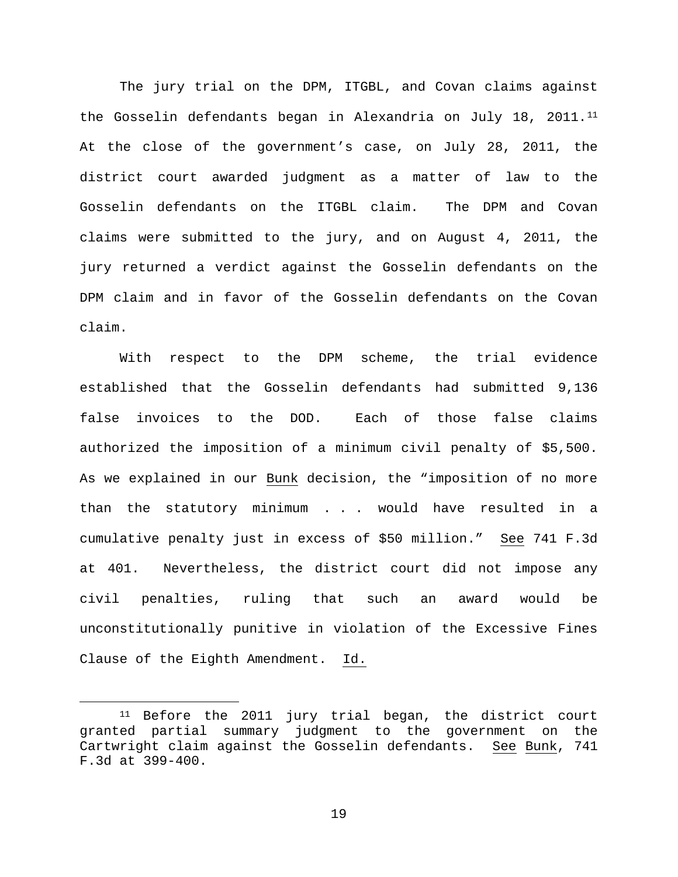The jury trial on the DPM, ITGBL, and Covan claims against the Gosselin defendants began in Alexandria on July 18, 2011.[11](#page-18-0) At the close of the government's case, on July 28, 2011, the district court awarded judgment as a matter of law to the Gosselin defendants on the ITGBL claim. The DPM and Covan claims were submitted to the jury, and on August 4, 2011, the jury returned a verdict against the Gosselin defendants on the DPM claim and in favor of the Gosselin defendants on the Covan claim.

With respect to the DPM scheme, the trial evidence established that the Gosselin defendants had submitted 9,136 false invoices to the DOD. Each of those false claims authorized the imposition of a minimum civil penalty of \$5,500. As we explained in our Bunk decision, the "imposition of no more than the statutory minimum . . . would have resulted in a cumulative penalty just in excess of \$50 million." See 741 F.3d at 401. Nevertheless, the district court did not impose any civil penalties, ruling that such an award would be unconstitutionally punitive in violation of the Excessive Fines Clause of the Eighth Amendment. Id.

<span id="page-18-0"></span><sup>&</sup>lt;sup>11</sup> Before the 2011 jury trial began, the district court granted partial summary judgment to the government on the Cartwright claim against the Gosselin defendants. See Bunk, 741 F.3d at 399-400.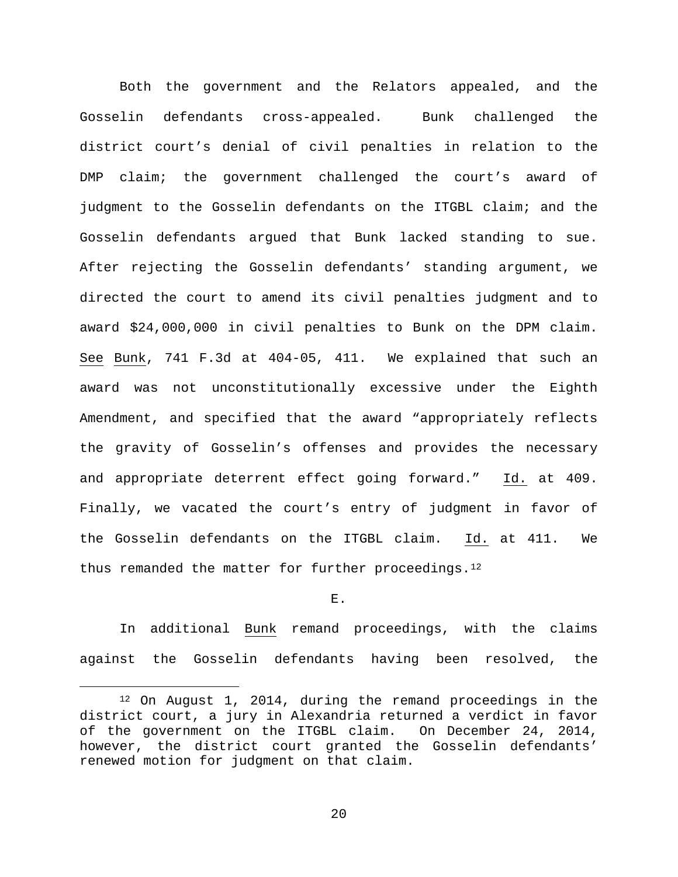Both the government and the Relators appealed, and the Gosselin defendants cross-appealed. Bunk challenged the district court's denial of civil penalties in relation to the DMP claim; the government challenged the court's award of judgment to the Gosselin defendants on the ITGBL claim; and the Gosselin defendants argued that Bunk lacked standing to sue. After rejecting the Gosselin defendants' standing argument, we directed the court to amend its civil penalties judgment and to award \$24,000,000 in civil penalties to Bunk on the DPM claim. See Bunk, 741 F.3d at 404-05, 411. We explained that such an award was not unconstitutionally excessive under the Eighth Amendment, and specified that the award "appropriately reflects the gravity of Gosselin's offenses and provides the necessary and appropriate deterrent effect going forward." Id. at 409. Finally, we vacated the court's entry of judgment in favor of the Gosselin defendants on the ITGBL claim. Id. at 411. We thus remanded the matter for further proceedings.  $12$ 

#### E.

In additional Bunk remand proceedings, with the claims against the Gosselin defendants having been resolved, the

<span id="page-19-0"></span> <sup>12</sup> On August 1, 2014, during the remand proceedings in the district court, a jury in Alexandria returned a verdict in favor of the government on the ITGBL claim. On December 24, 2014, however, the district court granted the Gosselin defendants' renewed motion for judgment on that claim.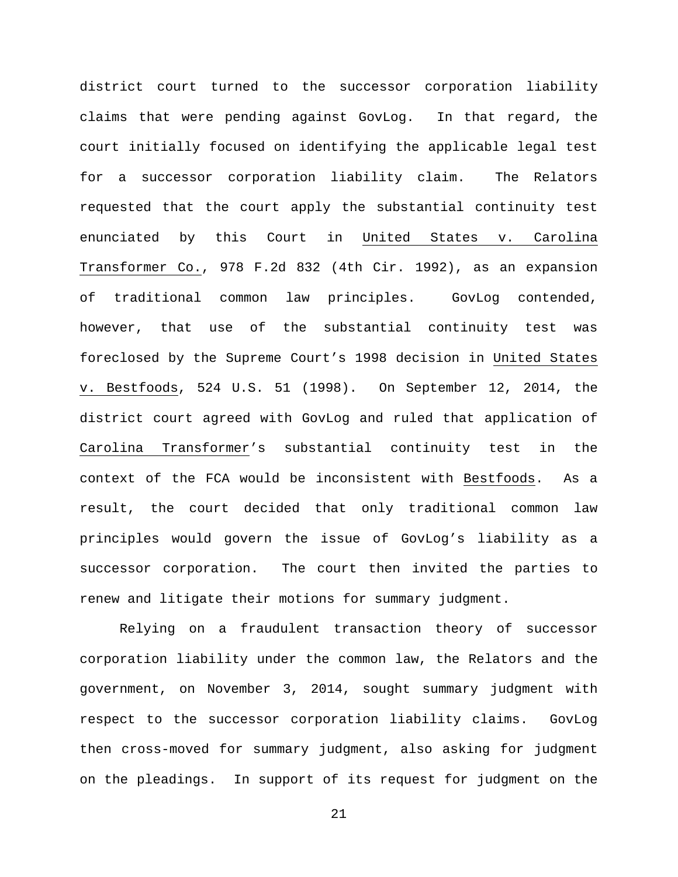district court turned to the successor corporation liability claims that were pending against GovLog. In that regard, the court initially focused on identifying the applicable legal test for a successor corporation liability claim. The Relators requested that the court apply the substantial continuity test enunciated by this Court in United States v. Carolina Transformer Co., 978 F.2d 832 (4th Cir. 1992), as an expansion of traditional common law principles. GovLog contended, however, that use of the substantial continuity test was foreclosed by the Supreme Court's 1998 decision in United States v. Bestfoods, 524 U.S. 51 (1998). On September 12, 2014, the district court agreed with GovLog and ruled that application of Carolina Transformer's substantial continuity test in the context of the FCA would be inconsistent with Bestfoods. As a result, the court decided that only traditional common law principles would govern the issue of GovLog's liability as a successor corporation. The court then invited the parties to renew and litigate their motions for summary judgment.

Relying on a fraudulent transaction theory of successor corporation liability under the common law, the Relators and the government, on November 3, 2014, sought summary judgment with respect to the successor corporation liability claims. GovLog then cross-moved for summary judgment, also asking for judgment on the pleadings. In support of its request for judgment on the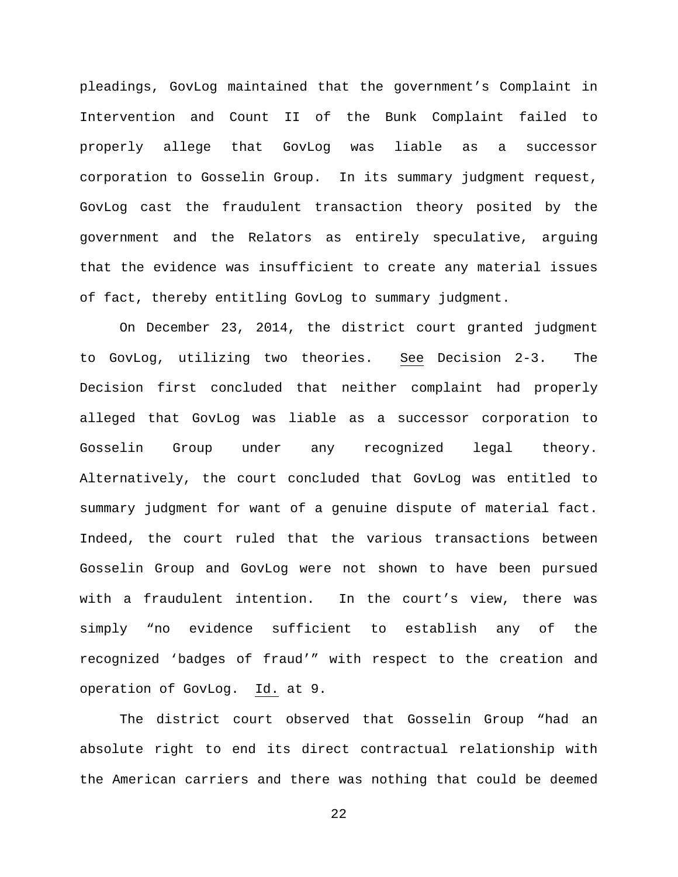pleadings, GovLog maintained that the government's Complaint in Intervention and Count II of the Bunk Complaint failed to properly allege that GovLog was liable as a successor corporation to Gosselin Group. In its summary judgment request, GovLog cast the fraudulent transaction theory posited by the government and the Relators as entirely speculative, arguing that the evidence was insufficient to create any material issues of fact, thereby entitling GovLog to summary judgment.

On December 23, 2014, the district court granted judgment to GovLog, utilizing two theories. See Decision 2-3. The Decision first concluded that neither complaint had properly alleged that GovLog was liable as a successor corporation to Gosselin Group under any recognized legal theory. Alternatively, the court concluded that GovLog was entitled to summary judgment for want of a genuine dispute of material fact. Indeed, the court ruled that the various transactions between Gosselin Group and GovLog were not shown to have been pursued with a fraudulent intention. In the court's view, there was simply "no evidence sufficient to establish any of the recognized 'badges of fraud'" with respect to the creation and operation of GovLog. Id. at 9.

The district court observed that Gosselin Group "had an absolute right to end its direct contractual relationship with the American carriers and there was nothing that could be deemed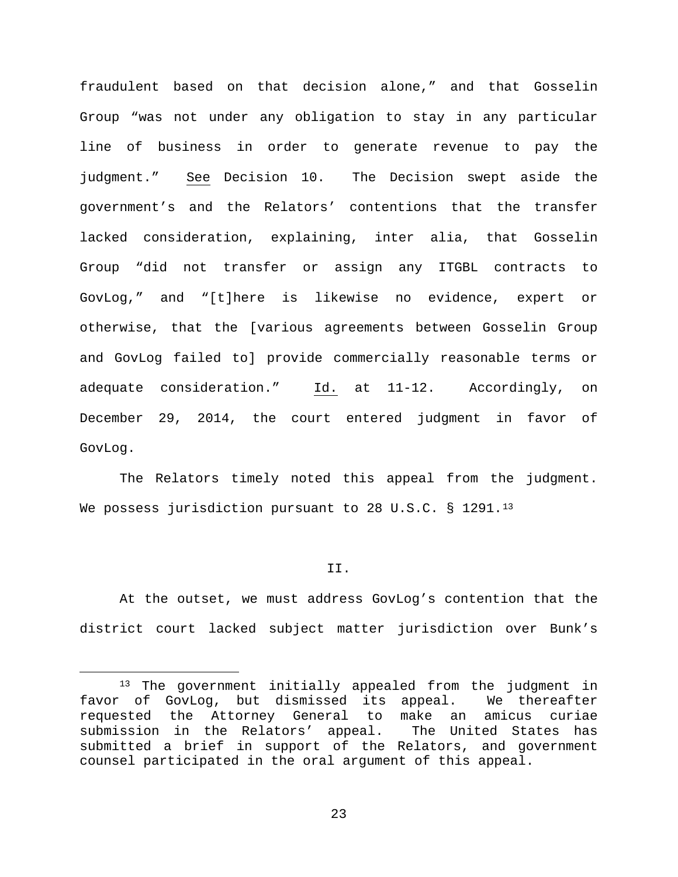fraudulent based on that decision alone," and that Gosselin Group "was not under any obligation to stay in any particular line of business in order to generate revenue to pay the judgment." See Decision 10. The Decision swept aside the government's and the Relators' contentions that the transfer lacked consideration, explaining, inter alia, that Gosselin Group "did not transfer or assign any ITGBL contracts to GovLog," and "[t]here is likewise no evidence, expert or otherwise, that the [various agreements between Gosselin Group and GovLog failed to] provide commercially reasonable terms or adequate consideration." Id. at 11-12. Accordingly, on December 29, 2014, the court entered judgment in favor of GovLog.

The Relators timely noted this appeal from the judgment. We possess jurisdiction pursuant to 28 U.S.C. § 1291.<sup>[13](#page-22-0)</sup>

## II.

At the outset, we must address GovLog's contention that the district court lacked subject matter jurisdiction over Bunk's

<span id="page-22-0"></span><sup>&</sup>lt;sup>13</sup> The government initially appealed from the judgment in<br>of GovLog, but dismissed its appeal. We thereafter favor of GovLog, but dismissed its appeal. requested the Attorney General to make an amicus curiae<br>submission in the Relators' appeal. The United States has submission in the Relators' appeal. submitted a brief in support of the Relators, and government counsel participated in the oral argument of this appeal.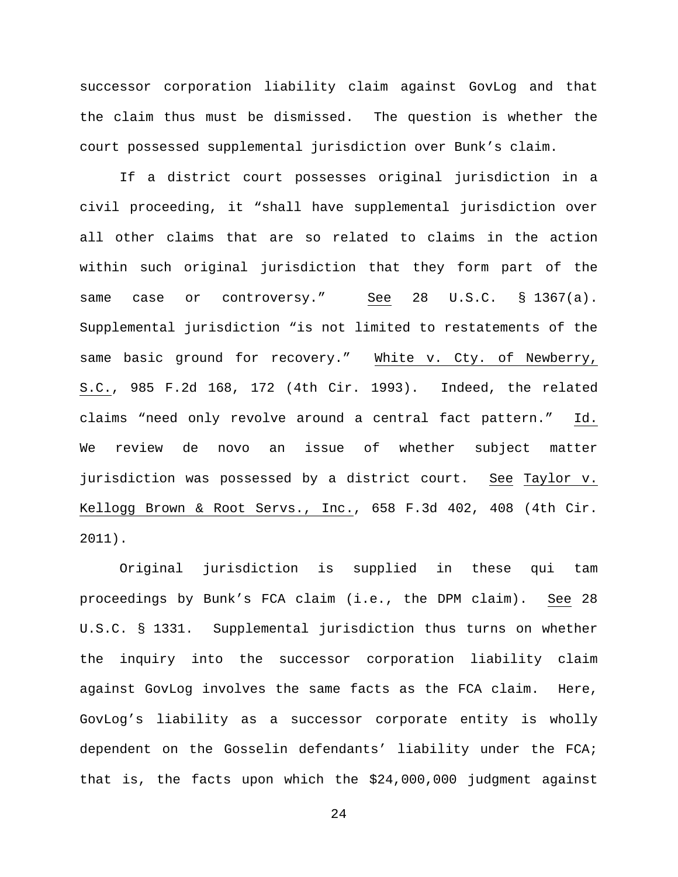successor corporation liability claim against GovLog and that the claim thus must be dismissed. The question is whether the court possessed supplemental jurisdiction over Bunk's claim.

If a district court possesses original jurisdiction in a civil proceeding, it "shall have supplemental jurisdiction over all other claims that are so related to claims in the action within such original jurisdiction that they form part of the same case or controversy." See 28 U.S.C. § 1367(a). Supplemental jurisdiction "is not limited to restatements of the same basic ground for recovery." White v. Cty. of Newberry, S.C., 985 F.2d 168, 172 (4th Cir. 1993). Indeed, the related claims "need only revolve around a central fact pattern." Id. We review de novo an issue of whether subject matter jurisdiction was possessed by a district court. See Taylor v. Kellogg Brown & Root Servs., Inc., 658 F.3d 402, 408 (4th Cir. 2011).

Original jurisdiction is supplied in these qui tam proceedings by Bunk's FCA claim (i.e., the DPM claim). See 28 U.S.C. § 1331. Supplemental jurisdiction thus turns on whether the inquiry into the successor corporation liability claim against GovLog involves the same facts as the FCA claim. Here, GovLog's liability as a successor corporate entity is wholly dependent on the Gosselin defendants' liability under the FCA; that is, the facts upon which the \$24,000,000 judgment against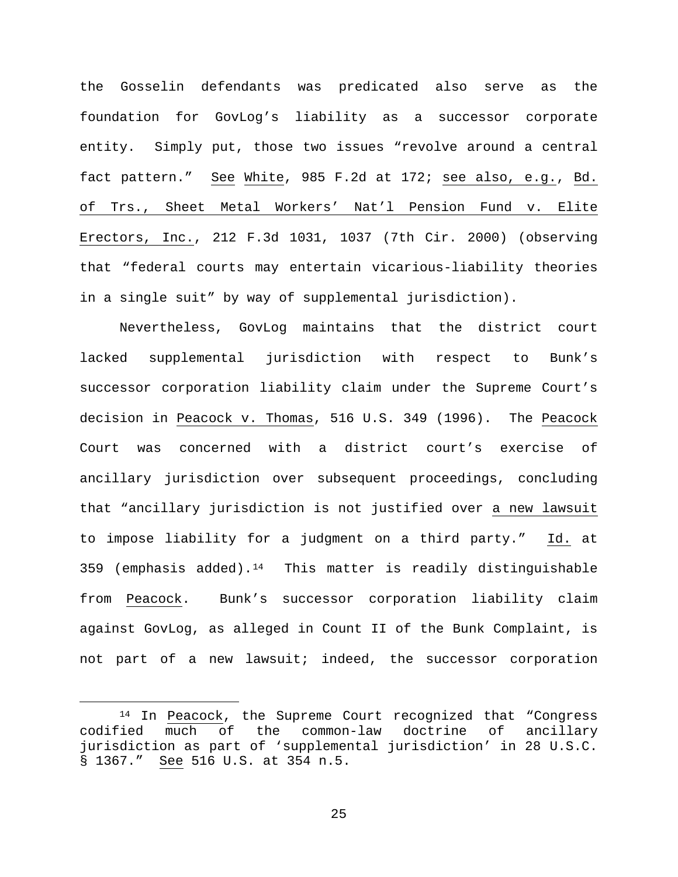the Gosselin defendants was predicated also serve as the foundation for GovLog's liability as a successor corporate entity. Simply put, those two issues "revolve around a central fact pattern." See White, 985 F.2d at 172; see also, e.g., Bd. of Trs., Sheet Metal Workers' Nat'l Pension Fund v. Elite Erectors, Inc., 212 F.3d 1031, 1037 (7th Cir. 2000) (observing that "federal courts may entertain vicarious-liability theories in a single suit" by way of supplemental jurisdiction).

Nevertheless, GovLog maintains that the district court lacked supplemental jurisdiction with respect to Bunk's successor corporation liability claim under the Supreme Court's decision in Peacock v. Thomas, 516 U.S. 349 (1996). The Peacock Court was concerned with a district court's exercise of ancillary jurisdiction over subsequent proceedings, concluding that "ancillary jurisdiction is not justified over a new lawsuit to impose liability for a judgment on a third party." Id. at 359 (emphasis added).<sup>14</sup> This matter is readily distinguishable from Peacock. Bunk's successor corporation liability claim against GovLog, as alleged in Count II of the Bunk Complaint, is not part of a new lawsuit; indeed, the successor corporation

<span id="page-24-0"></span> $14$  In Peacock, the Supreme Court recognized that "Congress codified much of the common-law doctrine of ancillary the common-law doctrine of ancillary jurisdiction as part of 'supplemental jurisdiction' in 28 U.S.C. § 1367." See 516 U.S. at 354 n.5.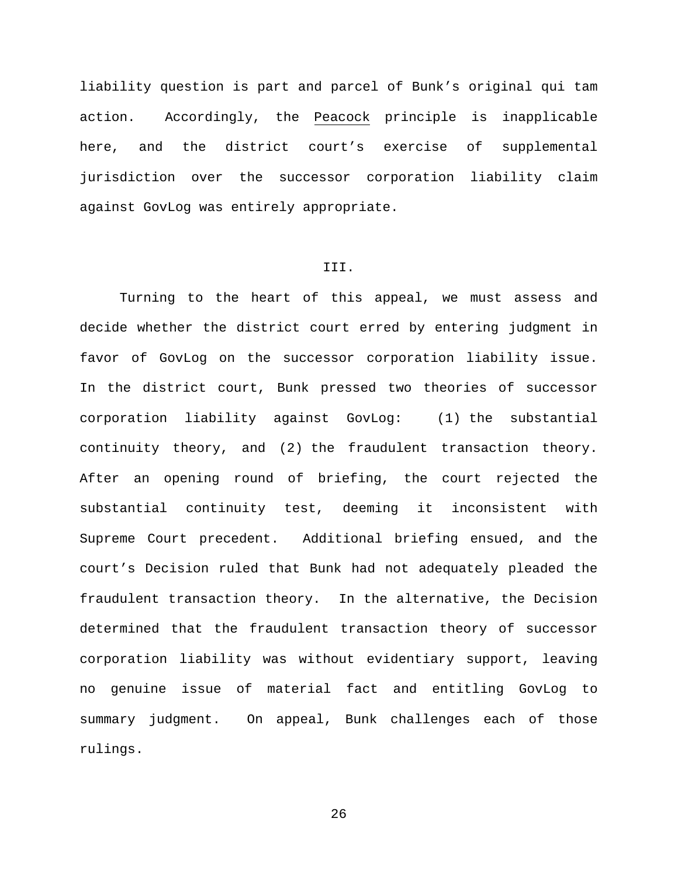liability question is part and parcel of Bunk's original qui tam action. Accordingly, the Peacock principle is inapplicable here, and the district court's exercise of supplemental jurisdiction over the successor corporation liability claim against GovLog was entirely appropriate.

### III.

Turning to the heart of this appeal, we must assess and decide whether the district court erred by entering judgment in favor of GovLog on the successor corporation liability issue. In the district court, Bunk pressed two theories of successor corporation liability against GovLog: (1) the substantial continuity theory, and (2) the fraudulent transaction theory. After an opening round of briefing, the court rejected the substantial continuity test, deeming it inconsistent with Supreme Court precedent. Additional briefing ensued, and the court's Decision ruled that Bunk had not adequately pleaded the fraudulent transaction theory. In the alternative, the Decision determined that the fraudulent transaction theory of successor corporation liability was without evidentiary support, leaving no genuine issue of material fact and entitling GovLog to summary judgment. On appeal, Bunk challenges each of those rulings.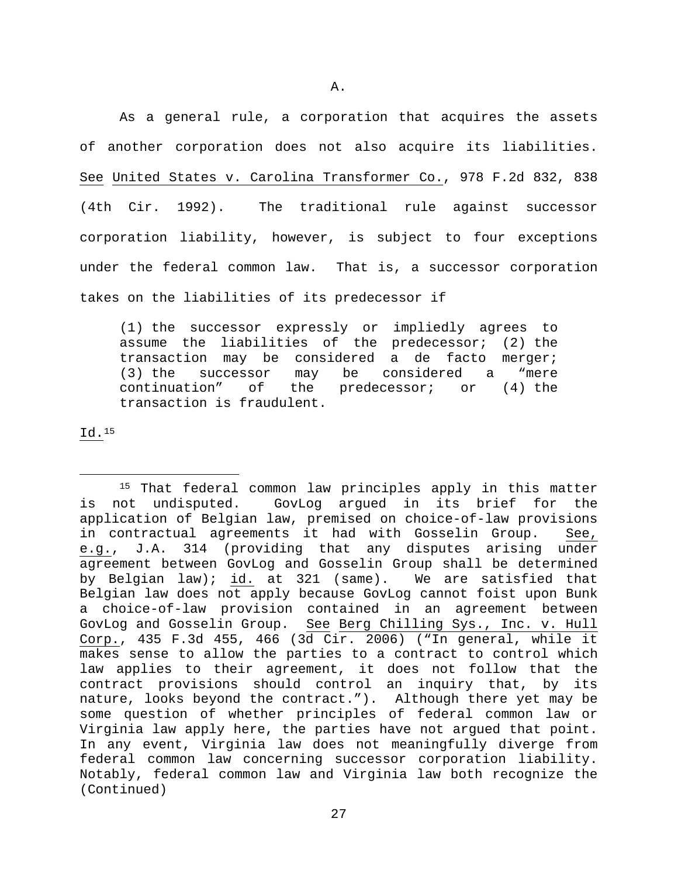A.

As a general rule, a corporation that acquires the assets of another corporation does not also acquire its liabilities. See United States v. Carolina Transformer Co., 978 F.2d 832, 838 (4th Cir. 1992). The traditional rule against successor corporation liability, however, is subject to four exceptions under the federal common law. That is, a successor corporation takes on the liabilities of its predecessor if

(1) the successor expressly or impliedly agrees to assume the liabilities of the predecessor; (2) the transaction may be considered a de facto merger;<br>(3) the successor may be considered a "mere (3) the successor may be considered<br>continuation" of the predecessor; o of the predecessor; or  $(4)$  the transaction is fraudulent.

Id.[15](#page-26-0)

<span id="page-26-0"></span><sup>&</sup>lt;sup>15</sup> That federal common law principles apply in this matter not undisputed. GovLog argued in its brief for the is not undisputed. GovLog argued in its brief for the application of Belgian law, premised on choice-of-law provisions<br>in contractual agreements it had with Gosselin Group. See, in contractual agreements it had with Gosselin Group. e.g., J.A. 314 (providing that any disputes arising under agreement between GovLog and Gosselin Group shall be determined by Belgian law); id. at 321 (same). We are satisfied that Belgian law does not apply because GovLog cannot foist upon Bunk a choice-of-law provision contained in an agreement between GovLog and Gosselin Group. See Berg Chilling Sys., Inc. v. Hull Corp., 435 F.3d 455, 466 (3d Cir. 2006) ("In general, while it makes sense to allow the parties to a contract to control which law applies to their agreement, it does not follow that the contract provisions should control an inquiry that, by its nature, looks beyond the contract."). Although there yet may be some question of whether principles of federal common law or Virginia law apply here, the parties have not argued that point. In any event, Virginia law does not meaningfully diverge from federal common law concerning successor corporation liability. Notably, federal common law and Virginia law both recognize the (Continued)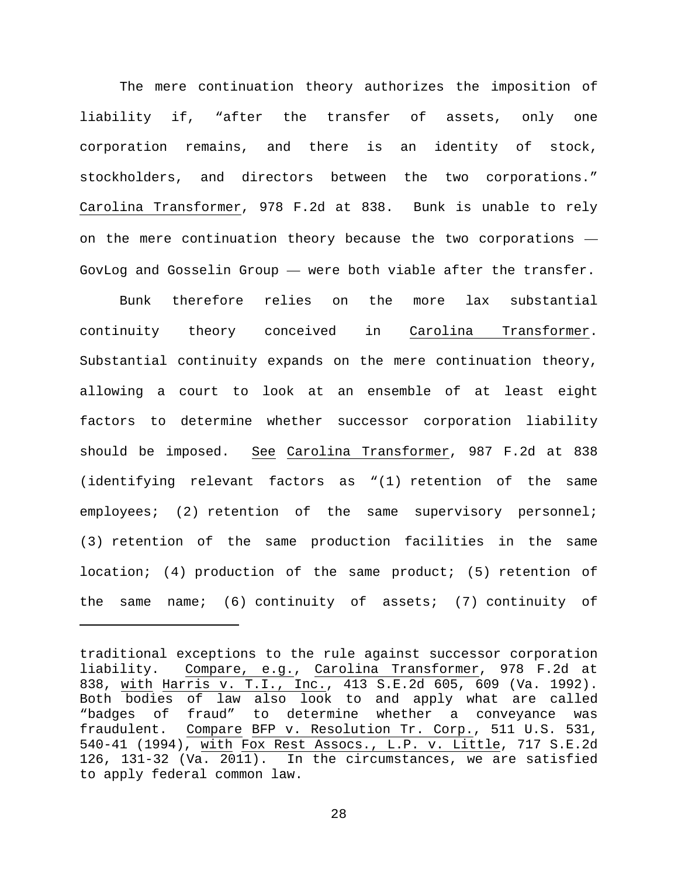The mere continuation theory authorizes the imposition of liability if, "after the transfer of assets, only one corporation remains, and there is an identity of stock, stockholders, and directors between the two corporations." Carolina Transformer, 978 F.2d at 838. Bunk is unable to rely on the mere continuation theory because the two corporations — GovLog and Gosselin Group — were both viable after the transfer.

Bunk therefore relies on the more lax substantial continuity theory conceived in Carolina Transformer. Substantial continuity expands on the mere continuation theory, allowing a court to look at an ensemble of at least eight factors to determine whether successor corporation liability should be imposed. See Carolina Transformer, 987 F.2d at 838 (identifying relevant factors as "(1) retention of the same employees; (2) retention of the same supervisory personnel; (3) retention of the same production facilities in the same location; (4) production of the same product; (5) retention of the same name; (6) continuity of assets; (7) continuity of

Ĩ.

traditional exceptions to the rule against successor corporation liability. Compare, e.g., Carolina Transformer, 978 F.2d at 838, with Harris v. T.I., Inc., 413 S.E.2d 605, 609 (Va. 1992). Both bodies of law also look to and apply what are called<br>"badges of fraud" to determine whether a conveyance was "badges of fraud" to determine whether a conveyance was<br>fraudulent. Compare BFP v. Resolution Tr. Corp., 511 U.S. 531, Compare BFP v. Resolution Tr. Corp., 511 U.S. 531, 540-41 (1994), with Fox Rest Assocs., L.P. v. Little, 717 S.E.2d 126, 131-32 (Va.  $2011$ ). In the circumstances, we are satisfied to apply federal common law.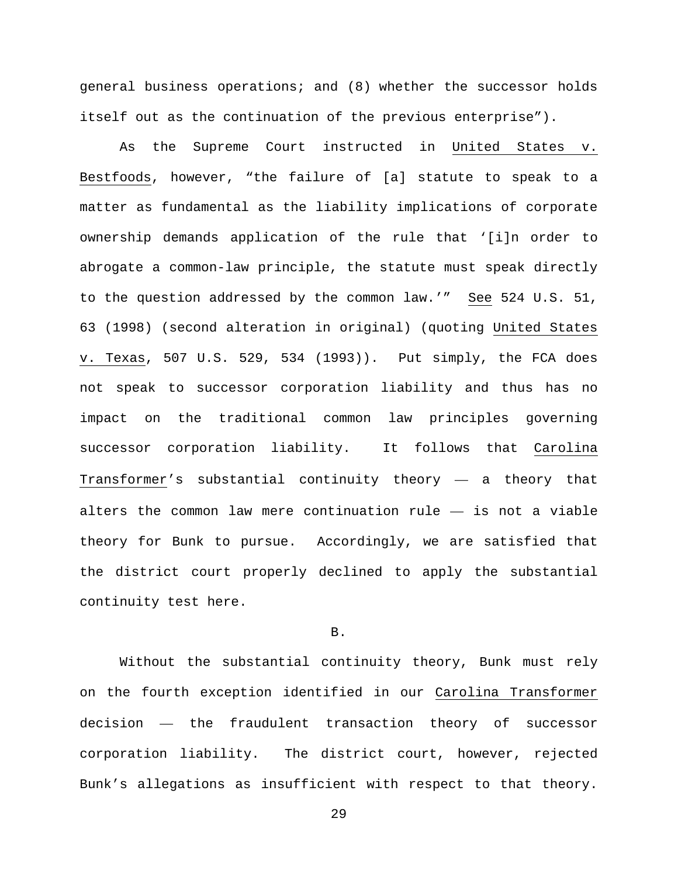general business operations; and (8) whether the successor holds itself out as the continuation of the previous enterprise").

As the Supreme Court instructed in United States v. Bestfoods, however, "the failure of [a] statute to speak to a matter as fundamental as the liability implications of corporate ownership demands application of the rule that '[i]n order to abrogate a common-law principle, the statute must speak directly to the question addressed by the common law.'" See 524 U.S. 51, 63 (1998) (second alteration in original) (quoting United States v. Texas, 507 U.S. 529, 534 (1993)). Put simply, the FCA does not speak to successor corporation liability and thus has no impact on the traditional common law principles governing successor corporation liability. It follows that Carolina Transformer's substantial continuity theory — a theory that alters the common law mere continuation rule — is not a viable theory for Bunk to pursue. Accordingly, we are satisfied that the district court properly declined to apply the substantial continuity test here.

# B.

Without the substantial continuity theory, Bunk must rely on the fourth exception identified in our Carolina Transformer decision — the fraudulent transaction theory of successor corporation liability. The district court, however, rejected Bunk's allegations as insufficient with respect to that theory.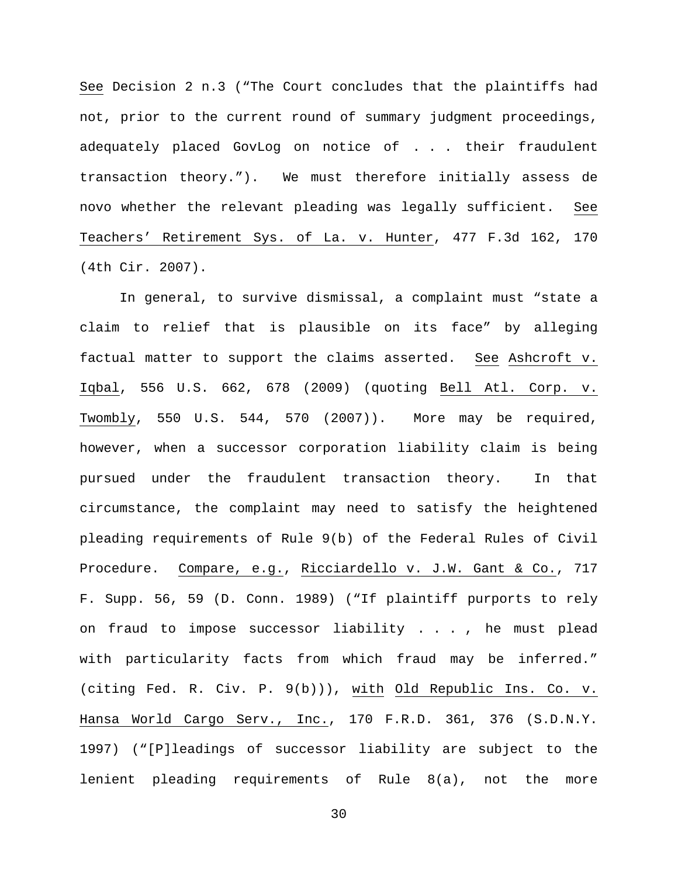See Decision 2 n.3 ("The Court concludes that the plaintiffs had not, prior to the current round of summary judgment proceedings, adequately placed GovLog on notice of . . . their fraudulent transaction theory."). We must therefore initially assess de novo whether the relevant pleading was legally sufficient. See Teachers' Retirement Sys. of La. v. Hunter, 477 F.3d 162, 170 (4th Cir. 2007).

In general, to survive dismissal, a complaint must "state a claim to relief that is plausible on its face" by alleging factual matter to support the claims asserted. See Ashcroft v. Iqbal, 556 U.S. 662, 678 (2009) (quoting Bell Atl. Corp. v. Twombly, 550 U.S. 544, 570 (2007)). More may be required, however, when a successor corporation liability claim is being pursued under the fraudulent transaction theory. In that circumstance, the complaint may need to satisfy the heightened pleading requirements of Rule 9(b) of the Federal Rules of Civil Procedure. Compare, e.g., Ricciardello v. J.W. Gant & Co., 717 F. Supp. 56, 59 (D. Conn. 1989) ("If plaintiff purports to rely on fraud to impose successor liability . . . , he must plead with particularity facts from which fraud may be inferred." (citing Fed. R. Civ. P. 9(b))), with Old Republic Ins. Co. v. Hansa World Cargo Serv., Inc., 170 F.R.D. 361, 376 (S.D.N.Y. 1997) ("[P]leadings of successor liability are subject to the lenient pleading requirements of Rule 8(a), not the more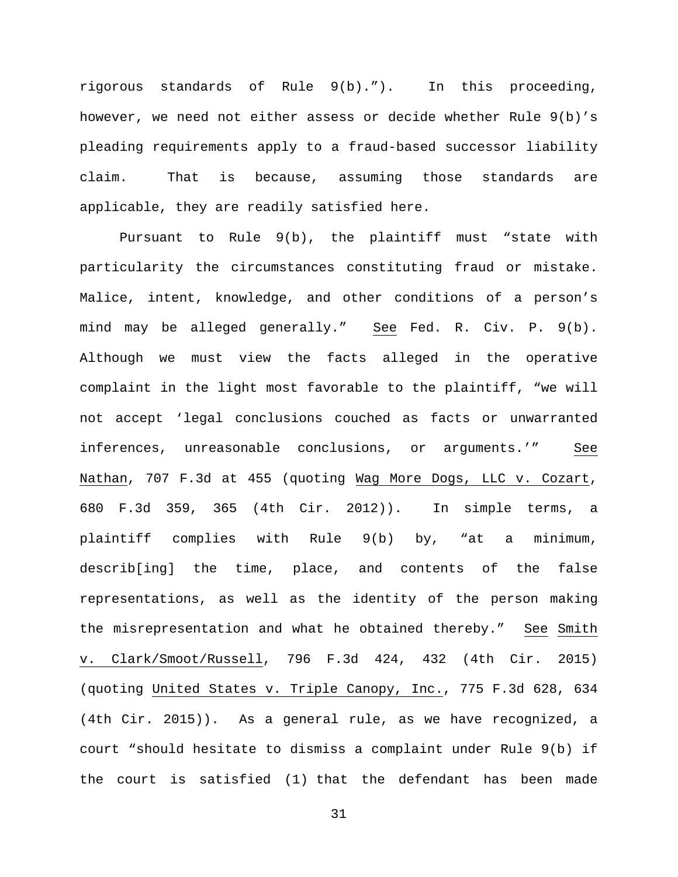rigorous standards of Rule 9(b)."). In this proceeding, however, we need not either assess or decide whether Rule 9(b)'s pleading requirements apply to a fraud-based successor liability claim. That is because, assuming those standards are applicable, they are readily satisfied here.

Pursuant to Rule 9(b), the plaintiff must "state with particularity the circumstances constituting fraud or mistake. Malice, intent, knowledge, and other conditions of a person's mind may be alleged generally." See Fed. R. Civ. P. 9(b). Although we must view the facts alleged in the operative complaint in the light most favorable to the plaintiff, "we will not accept 'legal conclusions couched as facts or unwarranted inferences, unreasonable conclusions, or arguments.'" See Nathan, 707 F.3d at 455 (quoting Wag More Dogs, LLC v. Cozart, 680 F.3d 359, 365 (4th Cir. 2012)). In simple terms, a plaintiff complies with Rule 9(b) by, "at a minimum, describ[ing] the time, place, and contents of the false representations, as well as the identity of the person making the misrepresentation and what he obtained thereby." See Smith v. Clark/Smoot/Russell, 796 F.3d 424, 432 (4th Cir. 2015) (quoting United States v. Triple Canopy, Inc., 775 F.3d 628, 634 (4th Cir. 2015)). As a general rule, as we have recognized, a court "should hesitate to dismiss a complaint under Rule 9(b) if the court is satisfied (1) that the defendant has been made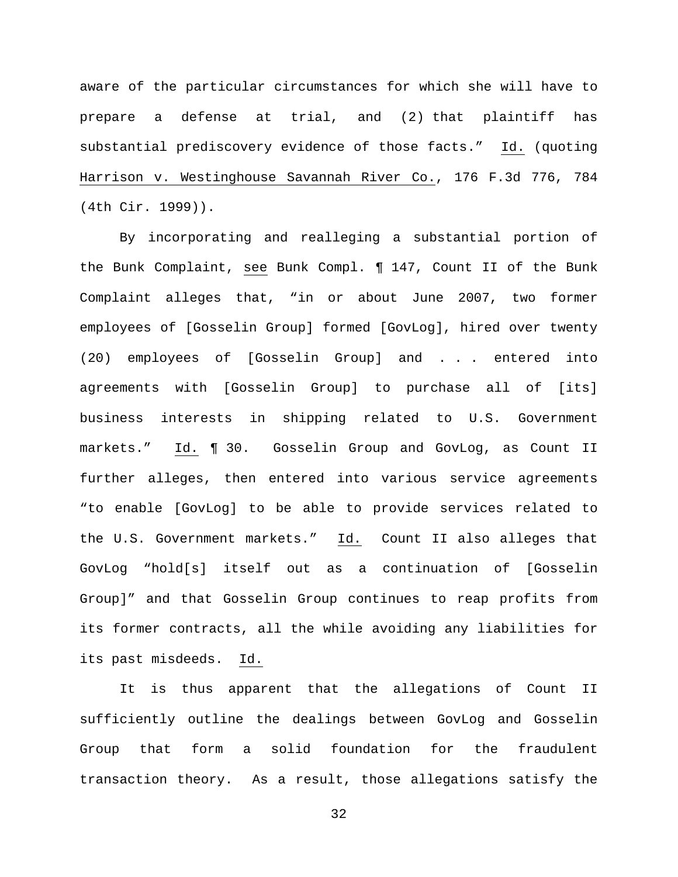aware of the particular circumstances for which she will have to prepare a defense at trial, and (2) that plaintiff has substantial prediscovery evidence of those facts." Id. (quoting Harrison v. Westinghouse Savannah River Co., 176 F.3d 776, 784 (4th Cir. 1999)).

By incorporating and realleging a substantial portion of the Bunk Complaint, see Bunk Compl. ¶ 147, Count II of the Bunk Complaint alleges that, "in or about June 2007, two former employees of [Gosselin Group] formed [GovLog], hired over twenty (20) employees of [Gosselin Group] and . . . entered into agreements with [Gosselin Group] to purchase all of [its] business interests in shipping related to U.S. Government markets." Id. ¶ 30. Gosselin Group and GovLog, as Count II further alleges, then entered into various service agreements "to enable [GovLog] to be able to provide services related to the U.S. Government markets." Id. Count II also alleges that GovLog "hold[s] itself out as a continuation of [Gosselin Group]" and that Gosselin Group continues to reap profits from its former contracts, all the while avoiding any liabilities for its past misdeeds. Id.

It is thus apparent that the allegations of Count II sufficiently outline the dealings between GovLog and Gosselin Group that form a solid foundation for the fraudulent transaction theory. As a result, those allegations satisfy the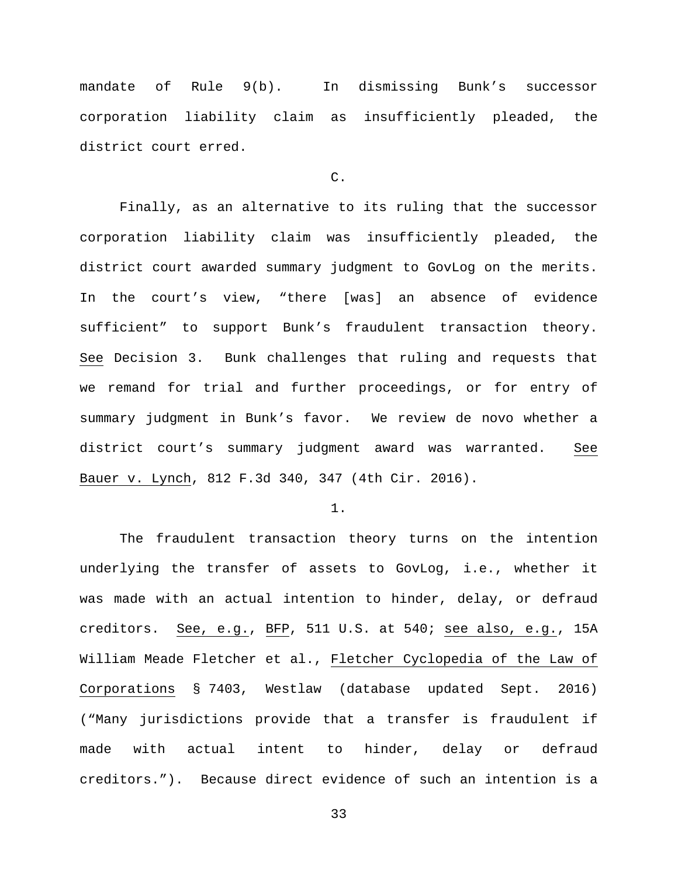mandate of Rule 9(b). In dismissing Bunk's successor corporation liability claim as insufficiently pleaded, the district court erred.

## C.

Finally, as an alternative to its ruling that the successor corporation liability claim was insufficiently pleaded, the district court awarded summary judgment to GovLog on the merits. In the court's view, "there [was] an absence of evidence sufficient" to support Bunk's fraudulent transaction theory. See Decision 3. Bunk challenges that ruling and requests that we remand for trial and further proceedings, or for entry of summary judgment in Bunk's favor. We review de novo whether a district court's summary judgment award was warranted. See Bauer v. Lynch, 812 F.3d 340, 347 (4th Cir. 2016).

1.

The fraudulent transaction theory turns on the intention underlying the transfer of assets to GovLog, i.e., whether it was made with an actual intention to hinder, delay, or defraud creditors. See, e.g., BFP, 511 U.S. at 540; see also, e.g., 15A William Meade Fletcher et al., Fletcher Cyclopedia of the Law of Corporations § 7403, Westlaw (database updated Sept. 2016) ("Many jurisdictions provide that a transfer is fraudulent if made with actual intent to hinder, delay or defraud creditors."). Because direct evidence of such an intention is a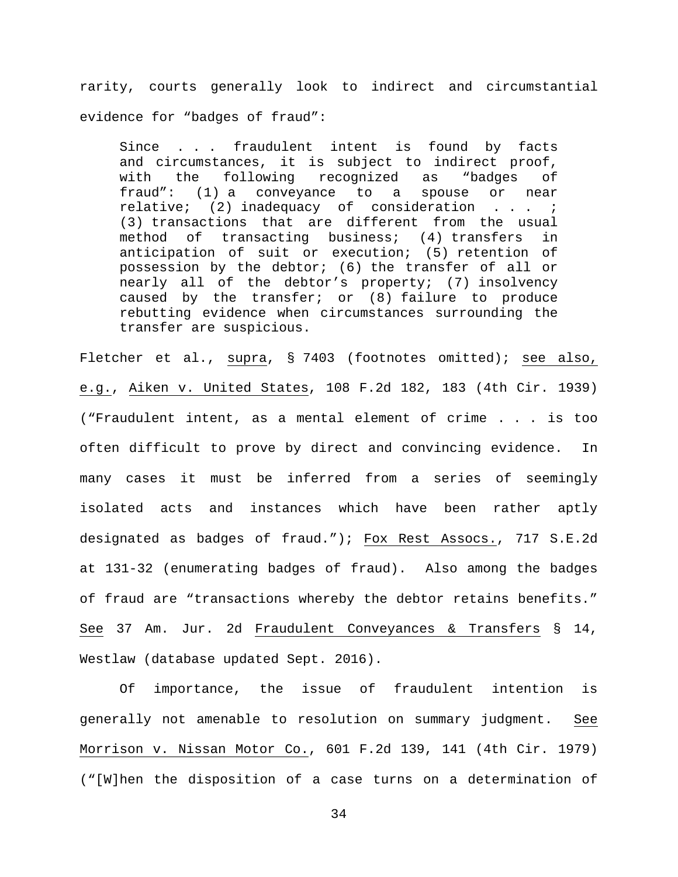rarity, courts generally look to indirect and circumstantial evidence for "badges of fraud":

Since . . . fraudulent intent is found by facts and circumstances, it is subject to indirect proof, with the following recognized as "badges of fraud": (1) a conveyance to a spouse or near relative; (2) inadequacy of consideration . . . ; (3) transactions that are different from the usual method of transacting business; (4) transfers in anticipation of suit or execution; (5) retention of possession by the debtor; (6) the transfer of all or nearly all of the debtor's property; (7) insolvency caused by the transfer; or (8) failure to produce rebutting evidence when circumstances surrounding the transfer are suspicious.

Fletcher et al., supra, § 7403 (footnotes omitted); see also, e.g., Aiken v. United States, 108 F.2d 182, 183 (4th Cir. 1939) ("Fraudulent intent, as a mental element of crime . . . is too often difficult to prove by direct and convincing evidence. In many cases it must be inferred from a series of seemingly isolated acts and instances which have been rather aptly designated as badges of fraud."); Fox Rest Assocs., 717 S.E.2d at 131-32 (enumerating badges of fraud). Also among the badges of fraud are "transactions whereby the debtor retains benefits." See 37 Am. Jur. 2d Fraudulent Conveyances & Transfers § 14, Westlaw (database updated Sept. 2016).

Of importance, the issue of fraudulent intention is generally not amenable to resolution on summary judgment. See Morrison v. Nissan Motor Co., 601 F.2d 139, 141 (4th Cir. 1979) ("[W]hen the disposition of a case turns on a determination of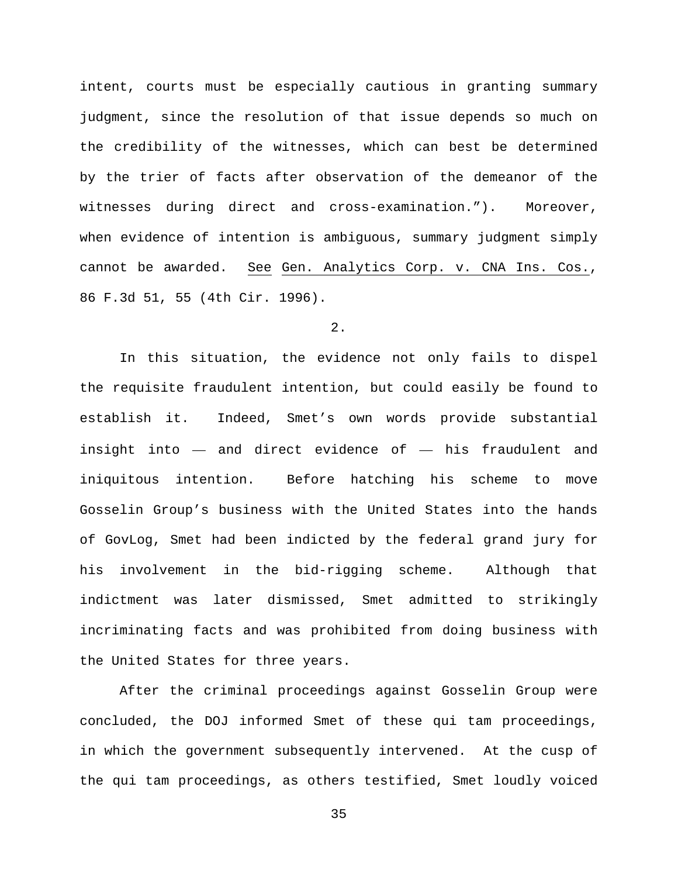intent, courts must be especially cautious in granting summary judgment, since the resolution of that issue depends so much on the credibility of the witnesses, which can best be determined by the trier of facts after observation of the demeanor of the witnesses during direct and cross-examination."). Moreover, when evidence of intention is ambiguous, summary judgment simply cannot be awarded. See Gen. Analytics Corp. v. CNA Ins. Cos., 86 F.3d 51, 55 (4th Cir. 1996).

## 2.

In this situation, the evidence not only fails to dispel the requisite fraudulent intention, but could easily be found to establish it. Indeed, Smet's own words provide substantial insight into — and direct evidence of — his fraudulent and iniquitous intention. Before hatching his scheme to move Gosselin Group's business with the United States into the hands of GovLog, Smet had been indicted by the federal grand jury for his involvement in the bid-rigging scheme. Although that indictment was later dismissed, Smet admitted to strikingly incriminating facts and was prohibited from doing business with the United States for three years.

After the criminal proceedings against Gosselin Group were concluded, the DOJ informed Smet of these qui tam proceedings, in which the government subsequently intervened. At the cusp of the qui tam proceedings, as others testified, Smet loudly voiced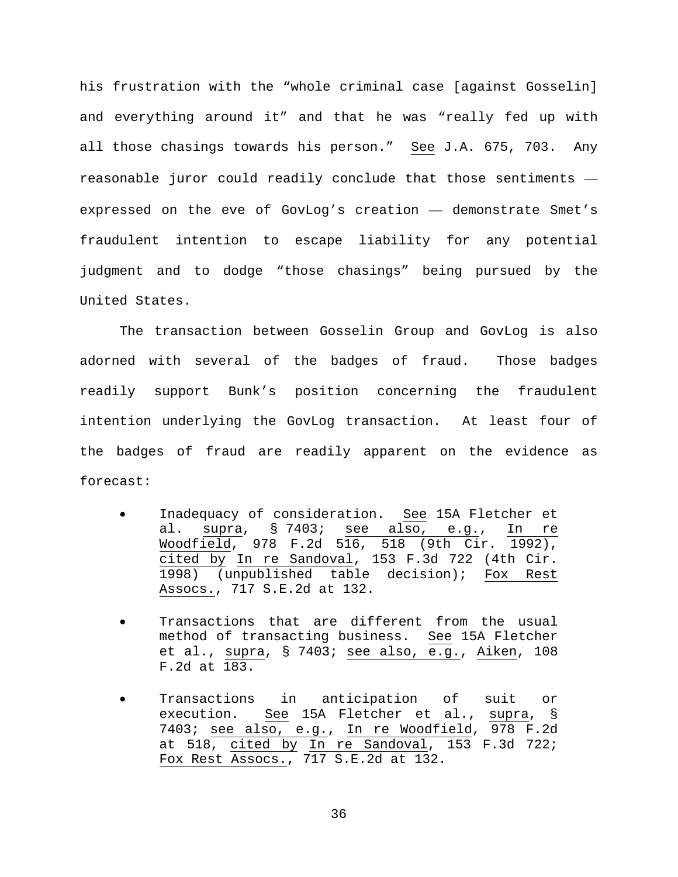his frustration with the "whole criminal case [against Gosselin] and everything around it" and that he was "really fed up with all those chasings towards his person." See J.A. 675, 703. Any reasonable juror could readily conclude that those sentiments expressed on the eve of GovLog's creation — demonstrate Smet's fraudulent intention to escape liability for any potential judgment and to dodge "those chasings" being pursued by the United States.

The transaction between Gosselin Group and GovLog is also adorned with several of the badges of fraud. Those badges readily support Bunk's position concerning the fraudulent intention underlying the GovLog transaction. At least four of the badges of fraud are readily apparent on the evidence as forecast:

- Inadequacy of consideration. See 15A Fletcher et al. supra, § 7403; see also, e.g., In re Woodfield, 978 F.2d 516, 518 (9th Cir. 1992), cited by In re Sandoval, 153 F.3d 722 (4th Cir. 1998) (unpublished table decision); Fox Rest Assocs., 717 S.E.2d at 132.
- Transactions that are different from the usual method of transacting business. See 15A Fletcher et al., supra, § 7403; see also, e.g., Aiken, 108 F.2d at 183.
- Transactions in anticipation of suit or execution. See 15A Fletcher et al., supra, § 7403; see also, e.g., In re Woodfield, 978 F.2d at 518, cited by  $\overline{\ln}$  re Sandoval, 153 F.3d 722; Fox Rest Assocs., 717 S.E.2d at 132.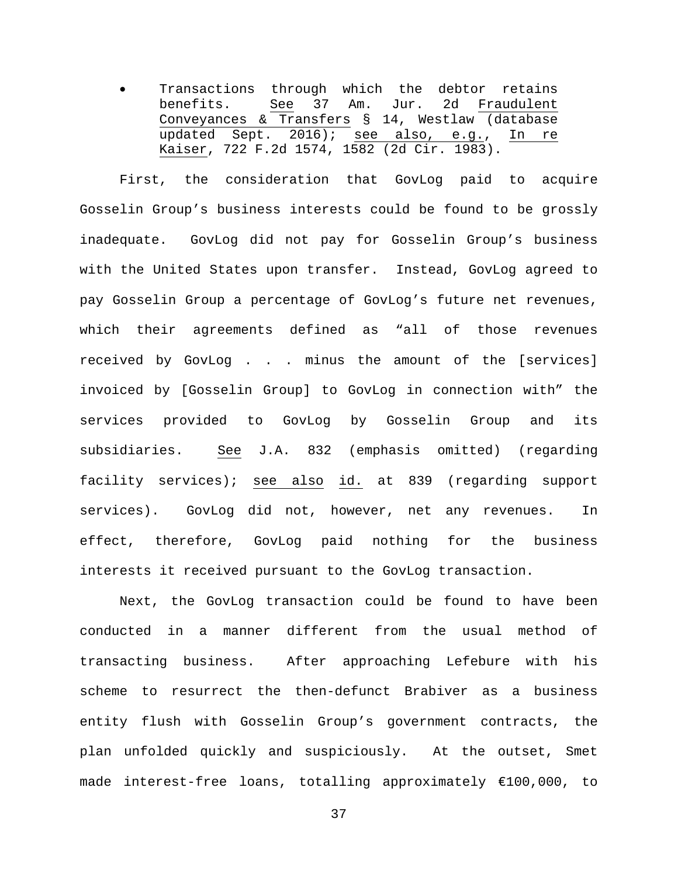Transactions through which the debtor retains benefits. See 37 Am. Jur. 2d Fraudulent Conveyances & Transfers § 14, Westlaw (database updated Sept. 2016); see also, e.g., In re Kaiser, 722 F.2d 1574, 1582 (2d Cir. 1983).

First, the consideration that GovLog paid to acquire Gosselin Group's business interests could be found to be grossly inadequate. GovLog did not pay for Gosselin Group's business with the United States upon transfer. Instead, GovLog agreed to pay Gosselin Group a percentage of GovLog's future net revenues, which their agreements defined as "all of those revenues received by GovLog . . . minus the amount of the [services] invoiced by [Gosselin Group] to GovLog in connection with" the services provided to GovLog by Gosselin Group and its subsidiaries. See J.A. 832 (emphasis omitted) (regarding facility services); see also id. at 839 (regarding support services). GovLog did not, however, net any revenues. In effect, therefore, GovLog paid nothing for the business interests it received pursuant to the GovLog transaction.

Next, the GovLog transaction could be found to have been conducted in a manner different from the usual method of transacting business. After approaching Lefebure with his scheme to resurrect the then-defunct Brabiver as a business entity flush with Gosselin Group's government contracts, the plan unfolded quickly and suspiciously. At the outset, Smet made interest-free loans, totalling approximately €100,000, to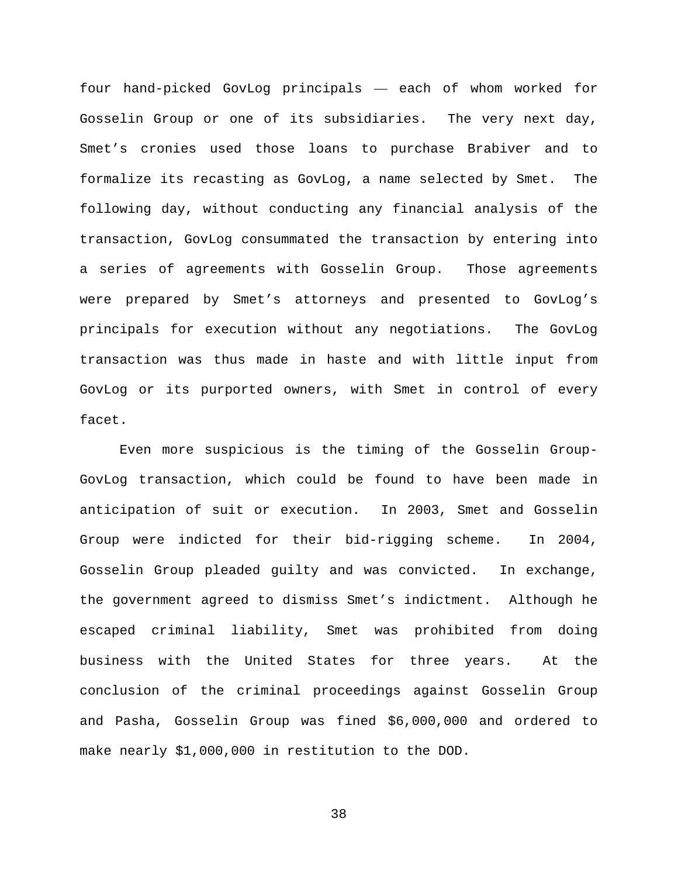four hand-picked GovLog principals — each of whom worked for Gosselin Group or one of its subsidiaries. The very next day, Smet's cronies used those loans to purchase Brabiver and to formalize its recasting as GovLog, a name selected by Smet. The following day, without conducting any financial analysis of the transaction, GovLog consummated the transaction by entering into a series of agreements with Gosselin Group. Those agreements were prepared by Smet's attorneys and presented to GovLog's principals for execution without any negotiations. The GovLog transaction was thus made in haste and with little input from GovLog or its purported owners, with Smet in control of every facet.

Even more suspicious is the timing of the Gosselin Group-GovLog transaction, which could be found to have been made in anticipation of suit or execution. In 2003, Smet and Gosselin Group were indicted for their bid-rigging scheme. In 2004, Gosselin Group pleaded guilty and was convicted. In exchange, the government agreed to dismiss Smet's indictment. Although he escaped criminal liability, Smet was prohibited from doing business with the United States for three years. At the conclusion of the criminal proceedings against Gosselin Group and Pasha, Gosselin Group was fined \$6,000,000 and ordered to make nearly \$1,000,000 in restitution to the DOD.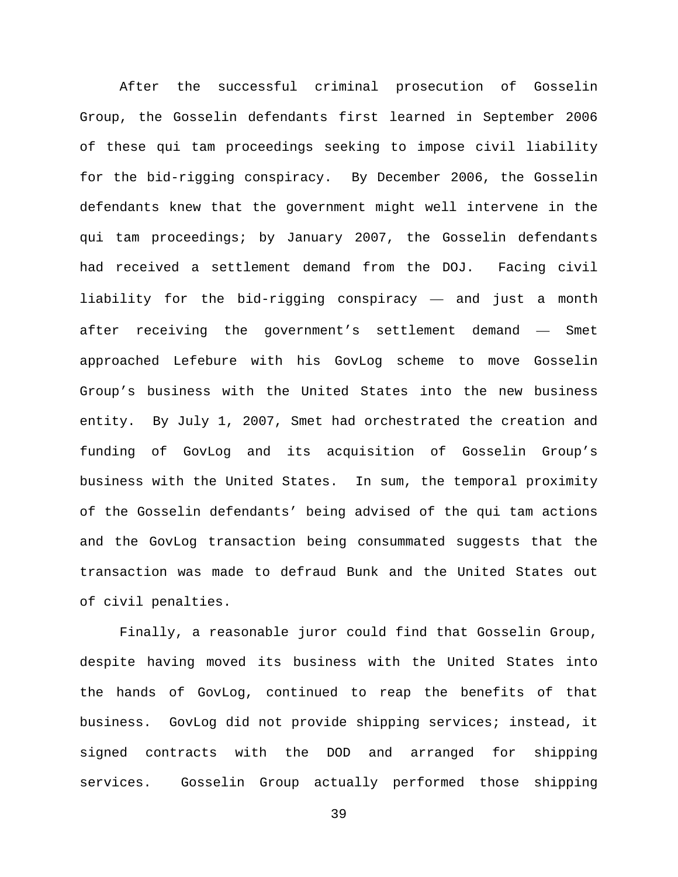After the successful criminal prosecution of Gosselin Group, the Gosselin defendants first learned in September 2006 of these qui tam proceedings seeking to impose civil liability for the bid-rigging conspiracy. By December 2006, the Gosselin defendants knew that the government might well intervene in the qui tam proceedings; by January 2007, the Gosselin defendants had received a settlement demand from the DOJ. Facing civil liability for the bid-rigging conspiracy — and just a month after receiving the government's settlement demand — Smet approached Lefebure with his GovLog scheme to move Gosselin Group's business with the United States into the new business entity. By July 1, 2007, Smet had orchestrated the creation and funding of GovLog and its acquisition of Gosselin Group's business with the United States. In sum, the temporal proximity of the Gosselin defendants' being advised of the qui tam actions and the GovLog transaction being consummated suggests that the transaction was made to defraud Bunk and the United States out of civil penalties.

Finally, a reasonable juror could find that Gosselin Group, despite having moved its business with the United States into the hands of GovLog, continued to reap the benefits of that business. GovLog did not provide shipping services; instead, it signed contracts with the DOD and arranged for shipping services. Gosselin Group actually performed those shipping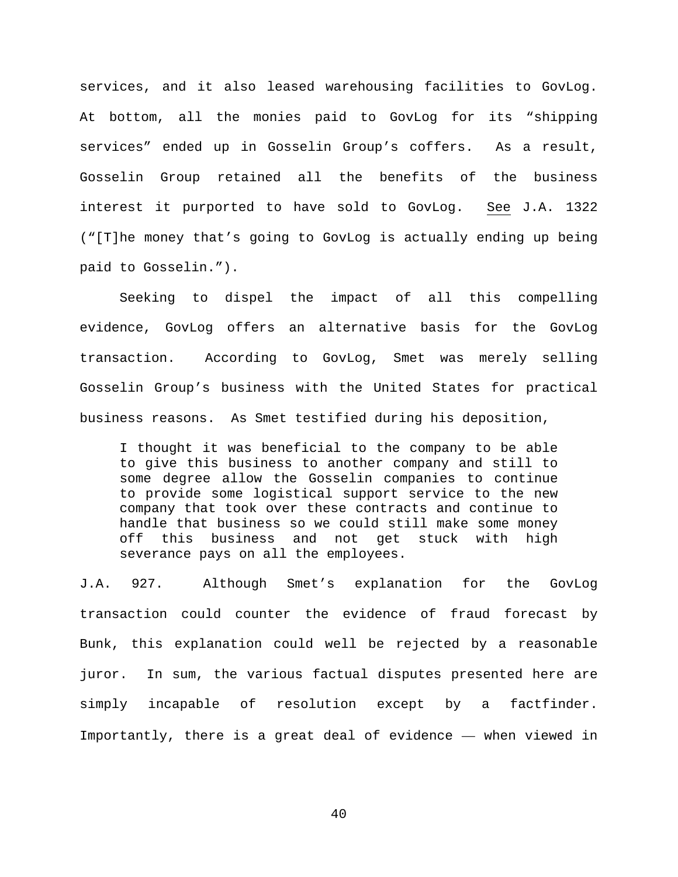services, and it also leased warehousing facilities to GovLog. At bottom, all the monies paid to GovLog for its "shipping services" ended up in Gosselin Group's coffers. As a result, Gosselin Group retained all the benefits of the business interest it purported to have sold to GovLog. See J.A. 1322 ("[T]he money that's going to GovLog is actually ending up being paid to Gosselin.").

Seeking to dispel the impact of all this compelling evidence, GovLog offers an alternative basis for the GovLog transaction. According to GovLog, Smet was merely selling Gosselin Group's business with the United States for practical business reasons. As Smet testified during his deposition,

I thought it was beneficial to the company to be able to give this business to another company and still to some degree allow the Gosselin companies to continue to provide some logistical support service to the new company that took over these contracts and continue to handle that business so we could still make some money<br>off this business and not get stuck with high this business and not get stuck with high severance pays on all the employees.

J.A. 927. Although Smet's explanation for the GovLog transaction could counter the evidence of fraud forecast by Bunk, this explanation could well be rejected by a reasonable juror. In sum, the various factual disputes presented here are simply incapable of resolution except by a factfinder. Importantly, there is a great deal of evidence — when viewed in